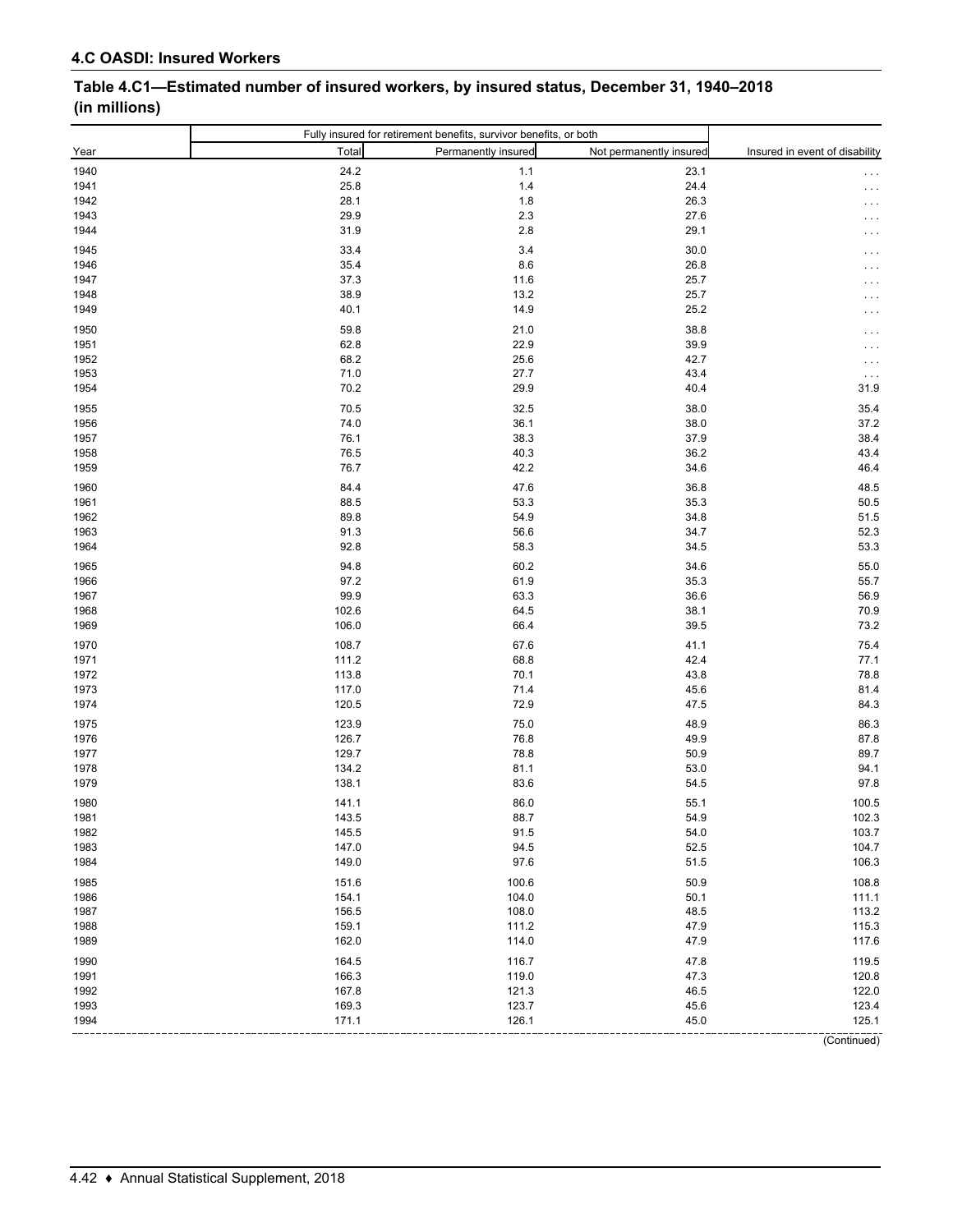# **Table 4.C1—Estimated number of insured workers, by insured status, December 31, 1940–2018 (in millions)**

| Total<br>Permanently insured<br>Year<br>Insured in event of disability<br>Not permanently insured<br>24.2<br>1940<br>1.1<br>23.1<br>25.8<br>$1.4$<br>24.4<br>1941<br>28.1<br>$1.8$<br>26.3<br>1942<br>$\cdots$<br>29.9<br>$2.3\,$<br>1943<br>27.6<br>31.9<br>$2.8\,$<br>29.1<br>1944<br>33.4<br>$3.4$<br>30.0<br>1945<br>26.8<br>1946<br>35.4<br>8.6<br>1947<br>37.3<br>11.6<br>25.7<br>38.9<br>1948<br>13.2<br>25.7<br>40.1<br>14.9<br>25.2<br>1949<br>59.8<br>38.8<br>1950<br>21.0<br>62.8<br>22.9<br>39.9<br>1951<br>1952<br>68.2<br>25.6<br>42.7<br>71.0<br>27.7<br>43.4<br>1953<br>$\sim$ $\sim$ $\sim$<br>29.9<br>1954<br>70.2<br>40.4<br>31.9<br>70.5<br>32.5<br>38.0<br>35.4<br>1955<br>37.2<br>1956<br>74.0<br>36.1<br>38.0<br>38.4<br>76.1<br>38.3<br>37.9<br>1957<br>43.4<br>40.3<br>1958<br>76.5<br>36.2<br>42.2<br>1959<br>76.7<br>34.6<br>46.4<br>84.4<br>47.6<br>36.8<br>48.5<br>1960<br>88.5<br>53.3<br>35.3<br>1961<br>50.5<br>34.8<br>51.5<br>1962<br>89.8<br>54.9<br>52.3<br>91.3<br>56.6<br>34.7<br>1963<br>92.8<br>58.3<br>53.3<br>1964<br>34.5<br>94.8<br>60.2<br>34.6<br>55.0<br>1965<br>1966<br>97.2<br>61.9<br>35.3<br>55.7<br>99.9<br>63.3<br>1967<br>36.6<br>56.9<br>70.9<br>1968<br>102.6<br>64.5<br>38.1<br>73.2<br>106.0<br>66.4<br>39.5<br>1969<br>1970<br>108.7<br>67.6<br>41.1<br>75.4<br>42.4<br>77.1<br>1971<br>111.2<br>68.8<br>78.8<br>1972<br>113.8<br>70.1<br>43.8<br>117.0<br>81.4<br>1973<br>71.4<br>45.6<br>72.9<br>84.3<br>1974<br>120.5<br>47.5<br>123.9<br>75.0<br>48.9<br>86.3<br>1975<br>87.8<br>1976<br>126.7<br>76.8<br>49.9<br>129.7<br>78.8<br>50.9<br>89.7<br>1977<br>1978<br>134.2<br>81.1<br>53.0<br>94.1<br>97.8<br>1979<br>138.1<br>83.6<br>54.5<br>141.1<br>86.0<br>55.1<br>1980<br>100.5<br>88.7<br>102.3<br>1981<br>143.5<br>54.9<br>1982<br>103.7<br>145.5<br>91.5<br>54.0<br>147.0<br>94.5<br>52.5<br>104.7<br>1983<br>1984<br>149.0<br>97.6<br>51.5<br>106.3<br>1985<br>151.6<br>100.6<br>50.9<br>108.8<br>1986<br>154.1<br>104.0<br>50.1<br>111.1<br>156.5<br>108.0<br>48.5<br>113.2<br>1987<br>1988<br>159.1<br>111.2<br>47.9<br>115.3<br>1989<br>162.0<br>114.0<br>47.9<br>117.6<br>1990<br>164.5<br>116.7<br>47.8<br>119.5<br>1991<br>166.3<br>119.0<br>47.3<br>120.8<br>1992<br>167.8<br>121.3<br>46.5<br>122.0<br>1993<br>169.3<br>123.7<br>45.6<br>123.4<br>1994<br>171.1<br>126.1<br>45.0<br>125.1<br>(Continued) |  | Fully insured for retirement benefits, survivor benefits, or both |  |
|-----------------------------------------------------------------------------------------------------------------------------------------------------------------------------------------------------------------------------------------------------------------------------------------------------------------------------------------------------------------------------------------------------------------------------------------------------------------------------------------------------------------------------------------------------------------------------------------------------------------------------------------------------------------------------------------------------------------------------------------------------------------------------------------------------------------------------------------------------------------------------------------------------------------------------------------------------------------------------------------------------------------------------------------------------------------------------------------------------------------------------------------------------------------------------------------------------------------------------------------------------------------------------------------------------------------------------------------------------------------------------------------------------------------------------------------------------------------------------------------------------------------------------------------------------------------------------------------------------------------------------------------------------------------------------------------------------------------------------------------------------------------------------------------------------------------------------------------------------------------------------------------------------------------------------------------------------------------------------------------------------------------------------------------------------------------------------------------------------------------------------------------------------------------------------------------------------------------------------------------------------------------------------------------------------------------------------------------------------------------------------------------|--|-------------------------------------------------------------------|--|
|                                                                                                                                                                                                                                                                                                                                                                                                                                                                                                                                                                                                                                                                                                                                                                                                                                                                                                                                                                                                                                                                                                                                                                                                                                                                                                                                                                                                                                                                                                                                                                                                                                                                                                                                                                                                                                                                                                                                                                                                                                                                                                                                                                                                                                                                                                                                                                                         |  |                                                                   |  |
|                                                                                                                                                                                                                                                                                                                                                                                                                                                                                                                                                                                                                                                                                                                                                                                                                                                                                                                                                                                                                                                                                                                                                                                                                                                                                                                                                                                                                                                                                                                                                                                                                                                                                                                                                                                                                                                                                                                                                                                                                                                                                                                                                                                                                                                                                                                                                                                         |  |                                                                   |  |
|                                                                                                                                                                                                                                                                                                                                                                                                                                                                                                                                                                                                                                                                                                                                                                                                                                                                                                                                                                                                                                                                                                                                                                                                                                                                                                                                                                                                                                                                                                                                                                                                                                                                                                                                                                                                                                                                                                                                                                                                                                                                                                                                                                                                                                                                                                                                                                                         |  |                                                                   |  |
|                                                                                                                                                                                                                                                                                                                                                                                                                                                                                                                                                                                                                                                                                                                                                                                                                                                                                                                                                                                                                                                                                                                                                                                                                                                                                                                                                                                                                                                                                                                                                                                                                                                                                                                                                                                                                                                                                                                                                                                                                                                                                                                                                                                                                                                                                                                                                                                         |  |                                                                   |  |
|                                                                                                                                                                                                                                                                                                                                                                                                                                                                                                                                                                                                                                                                                                                                                                                                                                                                                                                                                                                                                                                                                                                                                                                                                                                                                                                                                                                                                                                                                                                                                                                                                                                                                                                                                                                                                                                                                                                                                                                                                                                                                                                                                                                                                                                                                                                                                                                         |  |                                                                   |  |
|                                                                                                                                                                                                                                                                                                                                                                                                                                                                                                                                                                                                                                                                                                                                                                                                                                                                                                                                                                                                                                                                                                                                                                                                                                                                                                                                                                                                                                                                                                                                                                                                                                                                                                                                                                                                                                                                                                                                                                                                                                                                                                                                                                                                                                                                                                                                                                                         |  |                                                                   |  |
|                                                                                                                                                                                                                                                                                                                                                                                                                                                                                                                                                                                                                                                                                                                                                                                                                                                                                                                                                                                                                                                                                                                                                                                                                                                                                                                                                                                                                                                                                                                                                                                                                                                                                                                                                                                                                                                                                                                                                                                                                                                                                                                                                                                                                                                                                                                                                                                         |  |                                                                   |  |
|                                                                                                                                                                                                                                                                                                                                                                                                                                                                                                                                                                                                                                                                                                                                                                                                                                                                                                                                                                                                                                                                                                                                                                                                                                                                                                                                                                                                                                                                                                                                                                                                                                                                                                                                                                                                                                                                                                                                                                                                                                                                                                                                                                                                                                                                                                                                                                                         |  |                                                                   |  |
|                                                                                                                                                                                                                                                                                                                                                                                                                                                                                                                                                                                                                                                                                                                                                                                                                                                                                                                                                                                                                                                                                                                                                                                                                                                                                                                                                                                                                                                                                                                                                                                                                                                                                                                                                                                                                                                                                                                                                                                                                                                                                                                                                                                                                                                                                                                                                                                         |  |                                                                   |  |
|                                                                                                                                                                                                                                                                                                                                                                                                                                                                                                                                                                                                                                                                                                                                                                                                                                                                                                                                                                                                                                                                                                                                                                                                                                                                                                                                                                                                                                                                                                                                                                                                                                                                                                                                                                                                                                                                                                                                                                                                                                                                                                                                                                                                                                                                                                                                                                                         |  |                                                                   |  |
|                                                                                                                                                                                                                                                                                                                                                                                                                                                                                                                                                                                                                                                                                                                                                                                                                                                                                                                                                                                                                                                                                                                                                                                                                                                                                                                                                                                                                                                                                                                                                                                                                                                                                                                                                                                                                                                                                                                                                                                                                                                                                                                                                                                                                                                                                                                                                                                         |  |                                                                   |  |
|                                                                                                                                                                                                                                                                                                                                                                                                                                                                                                                                                                                                                                                                                                                                                                                                                                                                                                                                                                                                                                                                                                                                                                                                                                                                                                                                                                                                                                                                                                                                                                                                                                                                                                                                                                                                                                                                                                                                                                                                                                                                                                                                                                                                                                                                                                                                                                                         |  |                                                                   |  |
|                                                                                                                                                                                                                                                                                                                                                                                                                                                                                                                                                                                                                                                                                                                                                                                                                                                                                                                                                                                                                                                                                                                                                                                                                                                                                                                                                                                                                                                                                                                                                                                                                                                                                                                                                                                                                                                                                                                                                                                                                                                                                                                                                                                                                                                                                                                                                                                         |  |                                                                   |  |
|                                                                                                                                                                                                                                                                                                                                                                                                                                                                                                                                                                                                                                                                                                                                                                                                                                                                                                                                                                                                                                                                                                                                                                                                                                                                                                                                                                                                                                                                                                                                                                                                                                                                                                                                                                                                                                                                                                                                                                                                                                                                                                                                                                                                                                                                                                                                                                                         |  |                                                                   |  |
|                                                                                                                                                                                                                                                                                                                                                                                                                                                                                                                                                                                                                                                                                                                                                                                                                                                                                                                                                                                                                                                                                                                                                                                                                                                                                                                                                                                                                                                                                                                                                                                                                                                                                                                                                                                                                                                                                                                                                                                                                                                                                                                                                                                                                                                                                                                                                                                         |  |                                                                   |  |
|                                                                                                                                                                                                                                                                                                                                                                                                                                                                                                                                                                                                                                                                                                                                                                                                                                                                                                                                                                                                                                                                                                                                                                                                                                                                                                                                                                                                                                                                                                                                                                                                                                                                                                                                                                                                                                                                                                                                                                                                                                                                                                                                                                                                                                                                                                                                                                                         |  |                                                                   |  |
|                                                                                                                                                                                                                                                                                                                                                                                                                                                                                                                                                                                                                                                                                                                                                                                                                                                                                                                                                                                                                                                                                                                                                                                                                                                                                                                                                                                                                                                                                                                                                                                                                                                                                                                                                                                                                                                                                                                                                                                                                                                                                                                                                                                                                                                                                                                                                                                         |  |                                                                   |  |
|                                                                                                                                                                                                                                                                                                                                                                                                                                                                                                                                                                                                                                                                                                                                                                                                                                                                                                                                                                                                                                                                                                                                                                                                                                                                                                                                                                                                                                                                                                                                                                                                                                                                                                                                                                                                                                                                                                                                                                                                                                                                                                                                                                                                                                                                                                                                                                                         |  |                                                                   |  |
|                                                                                                                                                                                                                                                                                                                                                                                                                                                                                                                                                                                                                                                                                                                                                                                                                                                                                                                                                                                                                                                                                                                                                                                                                                                                                                                                                                                                                                                                                                                                                                                                                                                                                                                                                                                                                                                                                                                                                                                                                                                                                                                                                                                                                                                                                                                                                                                         |  |                                                                   |  |
|                                                                                                                                                                                                                                                                                                                                                                                                                                                                                                                                                                                                                                                                                                                                                                                                                                                                                                                                                                                                                                                                                                                                                                                                                                                                                                                                                                                                                                                                                                                                                                                                                                                                                                                                                                                                                                                                                                                                                                                                                                                                                                                                                                                                                                                                                                                                                                                         |  |                                                                   |  |
|                                                                                                                                                                                                                                                                                                                                                                                                                                                                                                                                                                                                                                                                                                                                                                                                                                                                                                                                                                                                                                                                                                                                                                                                                                                                                                                                                                                                                                                                                                                                                                                                                                                                                                                                                                                                                                                                                                                                                                                                                                                                                                                                                                                                                                                                                                                                                                                         |  |                                                                   |  |
|                                                                                                                                                                                                                                                                                                                                                                                                                                                                                                                                                                                                                                                                                                                                                                                                                                                                                                                                                                                                                                                                                                                                                                                                                                                                                                                                                                                                                                                                                                                                                                                                                                                                                                                                                                                                                                                                                                                                                                                                                                                                                                                                                                                                                                                                                                                                                                                         |  |                                                                   |  |
|                                                                                                                                                                                                                                                                                                                                                                                                                                                                                                                                                                                                                                                                                                                                                                                                                                                                                                                                                                                                                                                                                                                                                                                                                                                                                                                                                                                                                                                                                                                                                                                                                                                                                                                                                                                                                                                                                                                                                                                                                                                                                                                                                                                                                                                                                                                                                                                         |  |                                                                   |  |
|                                                                                                                                                                                                                                                                                                                                                                                                                                                                                                                                                                                                                                                                                                                                                                                                                                                                                                                                                                                                                                                                                                                                                                                                                                                                                                                                                                                                                                                                                                                                                                                                                                                                                                                                                                                                                                                                                                                                                                                                                                                                                                                                                                                                                                                                                                                                                                                         |  |                                                                   |  |
|                                                                                                                                                                                                                                                                                                                                                                                                                                                                                                                                                                                                                                                                                                                                                                                                                                                                                                                                                                                                                                                                                                                                                                                                                                                                                                                                                                                                                                                                                                                                                                                                                                                                                                                                                                                                                                                                                                                                                                                                                                                                                                                                                                                                                                                                                                                                                                                         |  |                                                                   |  |
|                                                                                                                                                                                                                                                                                                                                                                                                                                                                                                                                                                                                                                                                                                                                                                                                                                                                                                                                                                                                                                                                                                                                                                                                                                                                                                                                                                                                                                                                                                                                                                                                                                                                                                                                                                                                                                                                                                                                                                                                                                                                                                                                                                                                                                                                                                                                                                                         |  |                                                                   |  |
|                                                                                                                                                                                                                                                                                                                                                                                                                                                                                                                                                                                                                                                                                                                                                                                                                                                                                                                                                                                                                                                                                                                                                                                                                                                                                                                                                                                                                                                                                                                                                                                                                                                                                                                                                                                                                                                                                                                                                                                                                                                                                                                                                                                                                                                                                                                                                                                         |  |                                                                   |  |
|                                                                                                                                                                                                                                                                                                                                                                                                                                                                                                                                                                                                                                                                                                                                                                                                                                                                                                                                                                                                                                                                                                                                                                                                                                                                                                                                                                                                                                                                                                                                                                                                                                                                                                                                                                                                                                                                                                                                                                                                                                                                                                                                                                                                                                                                                                                                                                                         |  |                                                                   |  |
|                                                                                                                                                                                                                                                                                                                                                                                                                                                                                                                                                                                                                                                                                                                                                                                                                                                                                                                                                                                                                                                                                                                                                                                                                                                                                                                                                                                                                                                                                                                                                                                                                                                                                                                                                                                                                                                                                                                                                                                                                                                                                                                                                                                                                                                                                                                                                                                         |  |                                                                   |  |
|                                                                                                                                                                                                                                                                                                                                                                                                                                                                                                                                                                                                                                                                                                                                                                                                                                                                                                                                                                                                                                                                                                                                                                                                                                                                                                                                                                                                                                                                                                                                                                                                                                                                                                                                                                                                                                                                                                                                                                                                                                                                                                                                                                                                                                                                                                                                                                                         |  |                                                                   |  |
|                                                                                                                                                                                                                                                                                                                                                                                                                                                                                                                                                                                                                                                                                                                                                                                                                                                                                                                                                                                                                                                                                                                                                                                                                                                                                                                                                                                                                                                                                                                                                                                                                                                                                                                                                                                                                                                                                                                                                                                                                                                                                                                                                                                                                                                                                                                                                                                         |  |                                                                   |  |
|                                                                                                                                                                                                                                                                                                                                                                                                                                                                                                                                                                                                                                                                                                                                                                                                                                                                                                                                                                                                                                                                                                                                                                                                                                                                                                                                                                                                                                                                                                                                                                                                                                                                                                                                                                                                                                                                                                                                                                                                                                                                                                                                                                                                                                                                                                                                                                                         |  |                                                                   |  |
|                                                                                                                                                                                                                                                                                                                                                                                                                                                                                                                                                                                                                                                                                                                                                                                                                                                                                                                                                                                                                                                                                                                                                                                                                                                                                                                                                                                                                                                                                                                                                                                                                                                                                                                                                                                                                                                                                                                                                                                                                                                                                                                                                                                                                                                                                                                                                                                         |  |                                                                   |  |
|                                                                                                                                                                                                                                                                                                                                                                                                                                                                                                                                                                                                                                                                                                                                                                                                                                                                                                                                                                                                                                                                                                                                                                                                                                                                                                                                                                                                                                                                                                                                                                                                                                                                                                                                                                                                                                                                                                                                                                                                                                                                                                                                                                                                                                                                                                                                                                                         |  |                                                                   |  |
|                                                                                                                                                                                                                                                                                                                                                                                                                                                                                                                                                                                                                                                                                                                                                                                                                                                                                                                                                                                                                                                                                                                                                                                                                                                                                                                                                                                                                                                                                                                                                                                                                                                                                                                                                                                                                                                                                                                                                                                                                                                                                                                                                                                                                                                                                                                                                                                         |  |                                                                   |  |
|                                                                                                                                                                                                                                                                                                                                                                                                                                                                                                                                                                                                                                                                                                                                                                                                                                                                                                                                                                                                                                                                                                                                                                                                                                                                                                                                                                                                                                                                                                                                                                                                                                                                                                                                                                                                                                                                                                                                                                                                                                                                                                                                                                                                                                                                                                                                                                                         |  |                                                                   |  |
|                                                                                                                                                                                                                                                                                                                                                                                                                                                                                                                                                                                                                                                                                                                                                                                                                                                                                                                                                                                                                                                                                                                                                                                                                                                                                                                                                                                                                                                                                                                                                                                                                                                                                                                                                                                                                                                                                                                                                                                                                                                                                                                                                                                                                                                                                                                                                                                         |  |                                                                   |  |
|                                                                                                                                                                                                                                                                                                                                                                                                                                                                                                                                                                                                                                                                                                                                                                                                                                                                                                                                                                                                                                                                                                                                                                                                                                                                                                                                                                                                                                                                                                                                                                                                                                                                                                                                                                                                                                                                                                                                                                                                                                                                                                                                                                                                                                                                                                                                                                                         |  |                                                                   |  |
|                                                                                                                                                                                                                                                                                                                                                                                                                                                                                                                                                                                                                                                                                                                                                                                                                                                                                                                                                                                                                                                                                                                                                                                                                                                                                                                                                                                                                                                                                                                                                                                                                                                                                                                                                                                                                                                                                                                                                                                                                                                                                                                                                                                                                                                                                                                                                                                         |  |                                                                   |  |
|                                                                                                                                                                                                                                                                                                                                                                                                                                                                                                                                                                                                                                                                                                                                                                                                                                                                                                                                                                                                                                                                                                                                                                                                                                                                                                                                                                                                                                                                                                                                                                                                                                                                                                                                                                                                                                                                                                                                                                                                                                                                                                                                                                                                                                                                                                                                                                                         |  |                                                                   |  |
|                                                                                                                                                                                                                                                                                                                                                                                                                                                                                                                                                                                                                                                                                                                                                                                                                                                                                                                                                                                                                                                                                                                                                                                                                                                                                                                                                                                                                                                                                                                                                                                                                                                                                                                                                                                                                                                                                                                                                                                                                                                                                                                                                                                                                                                                                                                                                                                         |  |                                                                   |  |
|                                                                                                                                                                                                                                                                                                                                                                                                                                                                                                                                                                                                                                                                                                                                                                                                                                                                                                                                                                                                                                                                                                                                                                                                                                                                                                                                                                                                                                                                                                                                                                                                                                                                                                                                                                                                                                                                                                                                                                                                                                                                                                                                                                                                                                                                                                                                                                                         |  |                                                                   |  |
|                                                                                                                                                                                                                                                                                                                                                                                                                                                                                                                                                                                                                                                                                                                                                                                                                                                                                                                                                                                                                                                                                                                                                                                                                                                                                                                                                                                                                                                                                                                                                                                                                                                                                                                                                                                                                                                                                                                                                                                                                                                                                                                                                                                                                                                                                                                                                                                         |  |                                                                   |  |
|                                                                                                                                                                                                                                                                                                                                                                                                                                                                                                                                                                                                                                                                                                                                                                                                                                                                                                                                                                                                                                                                                                                                                                                                                                                                                                                                                                                                                                                                                                                                                                                                                                                                                                                                                                                                                                                                                                                                                                                                                                                                                                                                                                                                                                                                                                                                                                                         |  |                                                                   |  |
|                                                                                                                                                                                                                                                                                                                                                                                                                                                                                                                                                                                                                                                                                                                                                                                                                                                                                                                                                                                                                                                                                                                                                                                                                                                                                                                                                                                                                                                                                                                                                                                                                                                                                                                                                                                                                                                                                                                                                                                                                                                                                                                                                                                                                                                                                                                                                                                         |  |                                                                   |  |
|                                                                                                                                                                                                                                                                                                                                                                                                                                                                                                                                                                                                                                                                                                                                                                                                                                                                                                                                                                                                                                                                                                                                                                                                                                                                                                                                                                                                                                                                                                                                                                                                                                                                                                                                                                                                                                                                                                                                                                                                                                                                                                                                                                                                                                                                                                                                                                                         |  |                                                                   |  |
|                                                                                                                                                                                                                                                                                                                                                                                                                                                                                                                                                                                                                                                                                                                                                                                                                                                                                                                                                                                                                                                                                                                                                                                                                                                                                                                                                                                                                                                                                                                                                                                                                                                                                                                                                                                                                                                                                                                                                                                                                                                                                                                                                                                                                                                                                                                                                                                         |  |                                                                   |  |
|                                                                                                                                                                                                                                                                                                                                                                                                                                                                                                                                                                                                                                                                                                                                                                                                                                                                                                                                                                                                                                                                                                                                                                                                                                                                                                                                                                                                                                                                                                                                                                                                                                                                                                                                                                                                                                                                                                                                                                                                                                                                                                                                                                                                                                                                                                                                                                                         |  |                                                                   |  |
|                                                                                                                                                                                                                                                                                                                                                                                                                                                                                                                                                                                                                                                                                                                                                                                                                                                                                                                                                                                                                                                                                                                                                                                                                                                                                                                                                                                                                                                                                                                                                                                                                                                                                                                                                                                                                                                                                                                                                                                                                                                                                                                                                                                                                                                                                                                                                                                         |  |                                                                   |  |
|                                                                                                                                                                                                                                                                                                                                                                                                                                                                                                                                                                                                                                                                                                                                                                                                                                                                                                                                                                                                                                                                                                                                                                                                                                                                                                                                                                                                                                                                                                                                                                                                                                                                                                                                                                                                                                                                                                                                                                                                                                                                                                                                                                                                                                                                                                                                                                                         |  |                                                                   |  |
|                                                                                                                                                                                                                                                                                                                                                                                                                                                                                                                                                                                                                                                                                                                                                                                                                                                                                                                                                                                                                                                                                                                                                                                                                                                                                                                                                                                                                                                                                                                                                                                                                                                                                                                                                                                                                                                                                                                                                                                                                                                                                                                                                                                                                                                                                                                                                                                         |  |                                                                   |  |
|                                                                                                                                                                                                                                                                                                                                                                                                                                                                                                                                                                                                                                                                                                                                                                                                                                                                                                                                                                                                                                                                                                                                                                                                                                                                                                                                                                                                                                                                                                                                                                                                                                                                                                                                                                                                                                                                                                                                                                                                                                                                                                                                                                                                                                                                                                                                                                                         |  |                                                                   |  |
|                                                                                                                                                                                                                                                                                                                                                                                                                                                                                                                                                                                                                                                                                                                                                                                                                                                                                                                                                                                                                                                                                                                                                                                                                                                                                                                                                                                                                                                                                                                                                                                                                                                                                                                                                                                                                                                                                                                                                                                                                                                                                                                                                                                                                                                                                                                                                                                         |  |                                                                   |  |
|                                                                                                                                                                                                                                                                                                                                                                                                                                                                                                                                                                                                                                                                                                                                                                                                                                                                                                                                                                                                                                                                                                                                                                                                                                                                                                                                                                                                                                                                                                                                                                                                                                                                                                                                                                                                                                                                                                                                                                                                                                                                                                                                                                                                                                                                                                                                                                                         |  |                                                                   |  |
|                                                                                                                                                                                                                                                                                                                                                                                                                                                                                                                                                                                                                                                                                                                                                                                                                                                                                                                                                                                                                                                                                                                                                                                                                                                                                                                                                                                                                                                                                                                                                                                                                                                                                                                                                                                                                                                                                                                                                                                                                                                                                                                                                                                                                                                                                                                                                                                         |  |                                                                   |  |
|                                                                                                                                                                                                                                                                                                                                                                                                                                                                                                                                                                                                                                                                                                                                                                                                                                                                                                                                                                                                                                                                                                                                                                                                                                                                                                                                                                                                                                                                                                                                                                                                                                                                                                                                                                                                                                                                                                                                                                                                                                                                                                                                                                                                                                                                                                                                                                                         |  |                                                                   |  |
|                                                                                                                                                                                                                                                                                                                                                                                                                                                                                                                                                                                                                                                                                                                                                                                                                                                                                                                                                                                                                                                                                                                                                                                                                                                                                                                                                                                                                                                                                                                                                                                                                                                                                                                                                                                                                                                                                                                                                                                                                                                                                                                                                                                                                                                                                                                                                                                         |  |                                                                   |  |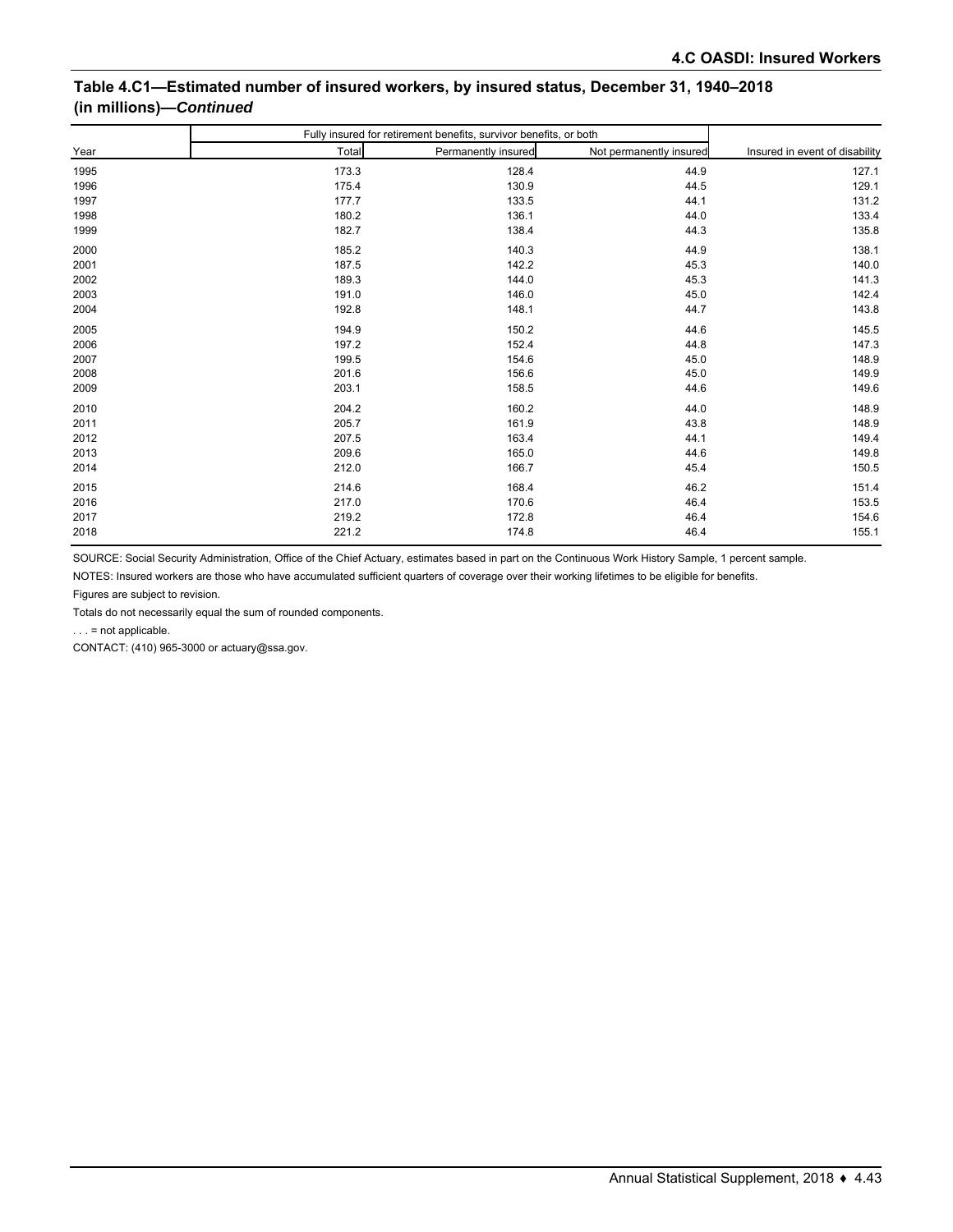#### **Table 4.C1—Estimated number of insured workers, by insured status, December 31, 1940–2018 (in millions)—***Continued*

|      | Fully insured for retirement benefits, survivor benefits, or both |                     |                         |                                |
|------|-------------------------------------------------------------------|---------------------|-------------------------|--------------------------------|
| Year | Total                                                             | Permanently insured | Not permanently insured | Insured in event of disability |
| 1995 | 173.3                                                             | 128.4               | 44.9                    | 127.1                          |
| 1996 | 175.4                                                             | 130.9               | 44.5                    | 129.1                          |
| 1997 | 177.7                                                             | 133.5               | 44.1                    | 131.2                          |
| 1998 | 180.2                                                             | 136.1               | 44.0                    | 133.4                          |
| 1999 | 182.7                                                             | 138.4               | 44.3                    | 135.8                          |
| 2000 | 185.2                                                             | 140.3               | 44.9                    | 138.1                          |
| 2001 | 187.5                                                             | 142.2               | 45.3                    | 140.0                          |
| 2002 | 189.3                                                             | 144.0               | 45.3                    | 141.3                          |
| 2003 | 191.0                                                             | 146.0               | 45.0                    | 142.4                          |
| 2004 | 192.8                                                             | 148.1               | 44.7                    | 143.8                          |
| 2005 | 194.9                                                             | 150.2               | 44.6                    | 145.5                          |
| 2006 | 197.2                                                             | 152.4               | 44.8                    | 147.3                          |
| 2007 | 199.5                                                             | 154.6               | 45.0                    | 148.9                          |
| 2008 | 201.6                                                             | 156.6               | 45.0                    | 149.9                          |
| 2009 | 203.1                                                             | 158.5               | 44.6                    | 149.6                          |
| 2010 | 204.2                                                             | 160.2               | 44.0                    | 148.9                          |
| 2011 | 205.7                                                             | 161.9               | 43.8                    | 148.9                          |
| 2012 | 207.5                                                             | 163.4               | 44.1                    | 149.4                          |
| 2013 | 209.6                                                             | 165.0               | 44.6                    | 149.8                          |
| 2014 | 212.0                                                             | 166.7               | 45.4                    | 150.5                          |
| 2015 | 214.6                                                             | 168.4               | 46.2                    | 151.4                          |
| 2016 | 217.0                                                             | 170.6               | 46.4                    | 153.5                          |
| 2017 | 219.2                                                             | 172.8               | 46.4                    | 154.6                          |
| 2018 | 221.2                                                             | 174.8               | 46.4                    | 155.1                          |

SOURCE: Social Security Administration, Office of the Chief Actuary, estimates based in part on the Continuous Work History Sample, 1 percent sample.

NOTES: Insured workers are those who have accumulated sufficient quarters of coverage over their working lifetimes to be eligible for benefits.

Figures are subject to revision.

Totals do not necessarily equal the sum of rounded components.

. . . = not applicable.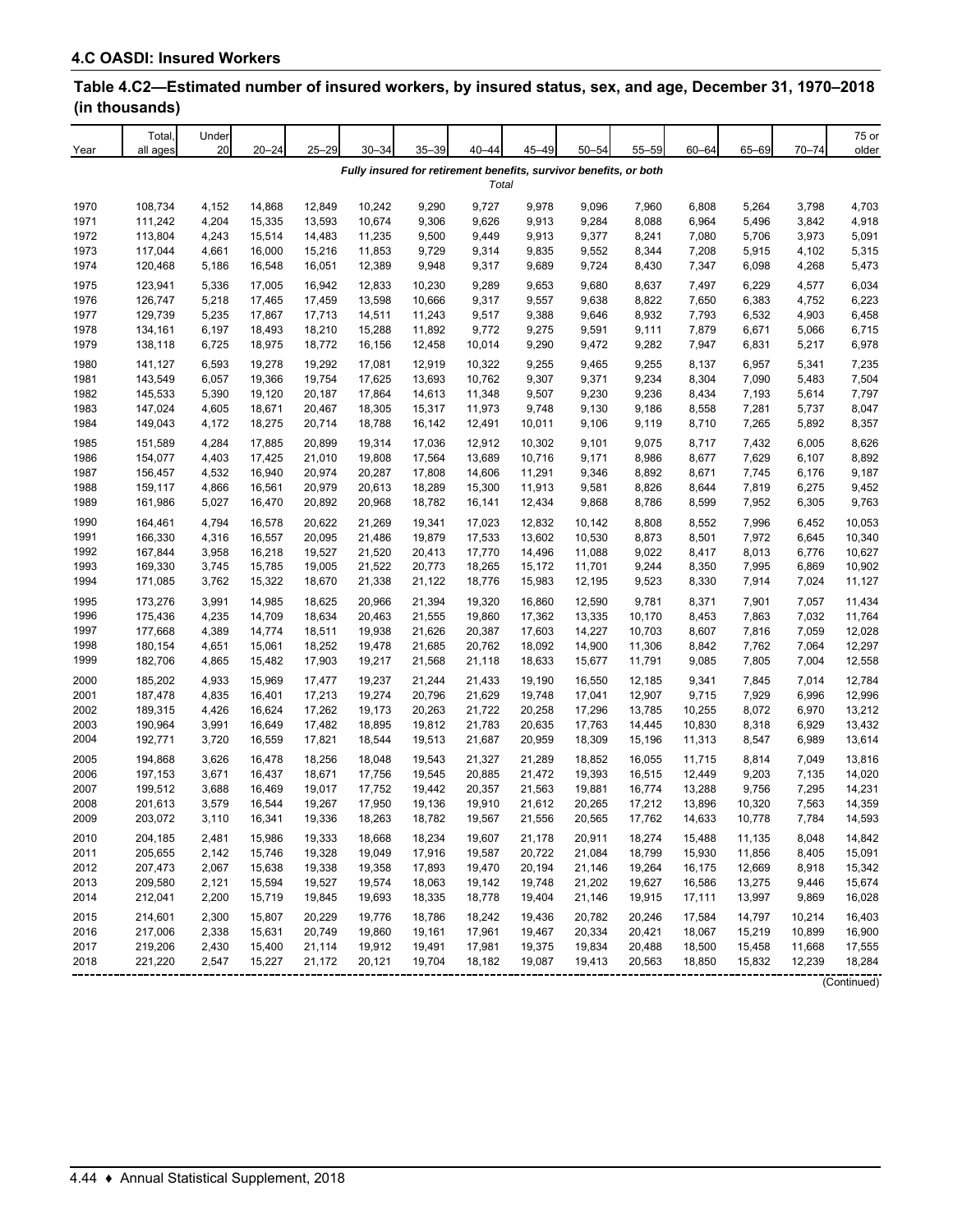| Year | Total<br>all ages | Under<br>20 | $20 - 24$ | $25 - 29$ | $30 - 34$ | $35 - 39$ | $40 - 44$ | $45 - 49$ | $50 - 54$ | $55 - 59$                                                         | $60 - 64$ | 65-69  | $70 - 74$ | 75 or<br>older |
|------|-------------------|-------------|-----------|-----------|-----------|-----------|-----------|-----------|-----------|-------------------------------------------------------------------|-----------|--------|-----------|----------------|
|      |                   |             |           |           |           |           |           |           |           | Fully insured for retirement benefits, survivor benefits, or both |           |        |           |                |
|      |                   |             |           |           |           |           | Total     |           |           |                                                                   |           |        |           |                |
| 1970 | 108,734           | 4,152       | 14,868    | 12,849    | 10,242    | 9,290     | 9,727     | 9,978     | 9,096     | 7,960                                                             | 6,808     | 5,264  | 3,798     | 4,703          |
| 1971 | 111,242           | 4,204       | 15,335    | 13,593    | 10,674    | 9,306     | 9,626     | 9,913     | 9,284     | 8,088                                                             | 6,964     | 5,496  | 3,842     | 4,918          |
| 1972 | 113,804           | 4,243       | 15,514    | 14,483    | 11,235    | 9,500     | 9,449     | 9,913     | 9,377     | 8,241                                                             | 7,080     | 5,706  | 3,973     | 5,091          |
| 1973 | 117,044           | 4,661       | 16,000    | 15,216    | 11,853    | 9,729     | 9,314     | 9,835     | 9,552     | 8,344                                                             | 7,208     | 5,915  | 4,102     | 5,315          |
| 1974 | 120,468           | 5,186       | 16,548    | 16,051    | 12,389    | 9,948     | 9,317     | 9,689     | 9,724     | 8,430                                                             | 7,347     | 6,098  | 4,268     | 5,473          |
| 1975 | 123,941           | 5,336       | 17,005    | 16,942    | 12,833    | 10,230    | 9,289     | 9,653     | 9,680     | 8,637                                                             | 7,497     | 6,229  | 4,577     | 6,034          |
| 1976 | 126,747           | 5,218       | 17,465    | 17,459    | 13,598    | 10,666    | 9,317     | 9,557     | 9,638     | 8,822                                                             | 7,650     | 6,383  | 4,752     | 6,223          |
| 1977 | 129,739           | 5,235       | 17,867    | 17,713    | 14,511    | 11,243    | 9,517     | 9,388     | 9,646     | 8,932                                                             | 7,793     | 6,532  | 4,903     | 6,458          |
| 1978 | 134,161           | 6,197       | 18,493    | 18,210    | 15,288    | 11,892    | 9,772     | 9,275     | 9,591     | 9,111                                                             | 7,879     | 6,671  | 5,066     | 6,715          |
| 1979 | 138,118           | 6,725       | 18,975    | 18,772    | 16,156    | 12,458    | 10,014    | 9,290     | 9,472     | 9,282                                                             | 7,947     | 6,831  | 5,217     | 6,978          |
| 1980 | 141,127           | 6,593       | 19,278    | 19,292    | 17,081    | 12,919    | 10,322    | 9,255     | 9,465     | 9,255                                                             | 8,137     | 6,957  | 5,341     | 7,235          |
| 1981 | 143,549           | 6,057       | 19,366    | 19,754    | 17,625    | 13,693    | 10,762    | 9,307     | 9,371     | 9,234                                                             | 8,304     | 7,090  | 5,483     | 7,504          |
| 1982 | 145,533           | 5,390       | 19,120    | 20,187    | 17,864    | 14,613    | 11,348    | 9,507     | 9,230     | 9,236                                                             | 8,434     | 7,193  | 5,614     | 7,797          |
| 1983 | 147,024           | 4,605       | 18,671    | 20,467    | 18,305    | 15,317    | 11,973    | 9,748     | 9,130     | 9,186                                                             | 8,558     | 7,281  | 5,737     | 8,047          |
| 1984 | 149,043           | 4,172       | 18,275    | 20,714    | 18,788    | 16,142    | 12,491    | 10,011    | 9,106     | 9,119                                                             | 8,710     | 7,265  | 5,892     | 8,357          |
| 1985 | 151,589           | 4,284       | 17,885    | 20,899    | 19,314    | 17,036    | 12,912    | 10,302    | 9,101     | 9,075                                                             | 8,717     | 7,432  | 6,005     | 8,626          |
| 1986 | 154,077           | 4,403       | 17,425    | 21,010    | 19,808    | 17,564    | 13,689    | 10,716    | 9,171     | 8,986                                                             | 8,677     | 7,629  | 6,107     | 8,892          |
| 1987 | 156,457           | 4,532       | 16,940    | 20,974    | 20,287    | 17,808    | 14,606    | 11,291    | 9,346     | 8,892                                                             | 8,671     | 7,745  | 6,176     | 9,187          |
| 1988 | 159,117           | 4,866       | 16,561    | 20,979    | 20,613    | 18,289    | 15,300    | 11,913    | 9,581     | 8,826                                                             | 8,644     | 7,819  | 6,275     | 9,452          |
| 1989 | 161,986           | 5,027       | 16,470    | 20,892    | 20,968    | 18,782    | 16,141    | 12,434    | 9,868     | 8,786                                                             | 8,599     | 7,952  | 6,305     | 9,763          |
| 1990 | 164,461           | 4,794       | 16,578    | 20,622    | 21,269    | 19,341    | 17,023    | 12,832    | 10,142    | 8,808                                                             | 8,552     | 7,996  | 6,452     | 10,053         |
| 1991 | 166,330           | 4,316       | 16,557    | 20,095    | 21,486    | 19,879    | 17,533    | 13,602    | 10,530    | 8,873                                                             | 8,501     | 7,972  | 6,645     | 10,340         |
| 1992 | 167,844           | 3,958       | 16,218    | 19,527    | 21,520    | 20,413    | 17,770    | 14,496    | 11,088    | 9,022                                                             | 8,417     | 8,013  | 6,776     | 10,627         |
| 1993 | 169,330           | 3,745       | 15,785    | 19,005    | 21,522    | 20,773    | 18,265    | 15,172    | 11,701    | 9,244                                                             | 8,350     | 7,995  | 6,869     | 10,902         |
| 1994 | 171,085           | 3,762       | 15,322    | 18,670    | 21,338    | 21,122    | 18,776    | 15,983    | 12,195    | 9,523                                                             | 8,330     | 7,914  | 7,024     | 11,127         |
| 1995 | 173,276           | 3,991       | 14,985    | 18,625    | 20,966    | 21,394    | 19,320    | 16,860    | 12,590    | 9,781                                                             | 8,371     | 7,901  | 7,057     | 11,434         |
| 1996 | 175,436           | 4,235       | 14,709    | 18,634    | 20,463    | 21,555    | 19,860    | 17,362    | 13,335    | 10,170                                                            | 8,453     | 7,863  | 7,032     | 11,764         |
| 1997 | 177,668           | 4,389       | 14,774    | 18,511    | 19,938    | 21,626    | 20,387    | 17,603    | 14,227    | 10,703                                                            | 8,607     | 7,816  | 7,059     | 12,028         |
| 1998 | 180,154           | 4,651       | 15,061    | 18,252    | 19,478    | 21,685    | 20,762    | 18,092    | 14,900    | 11,306                                                            | 8,842     | 7,762  | 7,064     | 12,297         |
| 1999 | 182,706           | 4,865       | 15,482    | 17,903    | 19,217    | 21,568    | 21,118    | 18,633    | 15,677    | 11,791                                                            | 9,085     | 7,805  | 7,004     | 12,558         |
| 2000 | 185,202           | 4,933       | 15,969    | 17,477    | 19,237    | 21,244    | 21,433    | 19,190    | 16,550    | 12,185                                                            | 9,341     | 7,845  | 7,014     | 12,784         |
| 2001 | 187,478           | 4,835       | 16,401    | 17,213    | 19,274    | 20,796    | 21,629    | 19,748    | 17,041    | 12,907                                                            | 9,715     | 7,929  | 6,996     | 12,996         |
| 2002 | 189,315           | 4,426       | 16,624    | 17,262    | 19,173    | 20,263    | 21,722    | 20,258    | 17,296    | 13,785                                                            | 10,255    | 8,072  | 6,970     | 13,212         |
| 2003 | 190,964           | 3,991       | 16,649    | 17,482    | 18,895    | 19,812    | 21,783    | 20,635    | 17,763    | 14,445                                                            | 10,830    | 8,318  | 6,929     | 13,432         |
| 2004 | 192,771           | 3,720       | 16,559    | 17,821    | 18,544    | 19,513    | 21,687    | 20,959    | 18,309    | 15,196                                                            | 11,313    | 8,547  | 6,989     | 13,614         |
| 2005 | 194,868           | 3,626       | 16,478    | 18,256    | 18,048    | 19,543    | 21,327    | 21,289    | 18,852    | 16,055                                                            | 11,715    | 8,814  | 7,049     | 13,816         |
| 2006 | 197,153           | 3,671       | 16,437    | 18,671    | 17,756    | 19,545    | 20,885    | 21,472    | 19,393    | 16,515                                                            | 12,449    | 9,203  | 7,135     | 14,020         |
| 2007 | 199,512           | 3,688       | 16,469    | 19,017    | 17,752    | 19,442    | 20,357    | 21,563    | 19,881    | 16,774                                                            | 13,288    | 9,756  | 7,295     | 14,231         |
| 2008 | 201,613           | 3,579       | 16,544    | 19,267    | 17,950    | 19,136    | 19,910    | 21,612    | 20.265    | 17,212                                                            | 13,896    | 10,320 | 7,563     | 14,359         |
| 2009 | 203,072           | 3,110       | 16,341    | 19,336    | 18,263    | 18,782    | 19,567    | 21,556    | 20,565    | 17,762                                                            | 14,633    | 10,778 | 7,784     | 14,593         |
| 2010 | 204,185           | 2,481       | 15,986    | 19,333    | 18,668    | 18,234    | 19,607    | 21,178    | 20,911    | 18,274                                                            | 15,488    | 11,135 | 8,048     | 14,842         |
| 2011 | 205,655           | 2,142       | 15,746    | 19,328    | 19,049    | 17,916    | 19,587    | 20,722    | 21,084    | 18,799                                                            | 15,930    | 11,856 | 8,405     | 15,091         |
| 2012 | 207,473           | 2,067       | 15,638    | 19,338    | 19,358    | 17,893    | 19,470    | 20,194    | 21,146    | 19,264                                                            | 16,175    | 12,669 | 8,918     | 15,342         |
| 2013 | 209,580           | 2,121       | 15,594    | 19,527    | 19,574    | 18,063    | 19,142    | 19,748    | 21,202    | 19,627                                                            | 16,586    | 13,275 | 9,446     | 15,674         |
| 2014 | 212,041           | 2,200       | 15,719    | 19,845    | 19,693    | 18,335    | 18,778    | 19,404    | 21,146    | 19,915                                                            | 17,111    | 13,997 | 9,869     | 16,028         |
| 2015 | 214,601           | 2,300       | 15,807    | 20,229    | 19,776    | 18,786    | 18,242    | 19,436    | 20,782    | 20,246                                                            | 17,584    | 14,797 | 10,214    | 16,403         |
| 2016 | 217,006           | 2,338       | 15,631    | 20,749    | 19,860    | 19,161    | 17,961    | 19,467    | 20,334    | 20,421                                                            | 18,067    | 15,219 | 10,899    | 16,900         |
| 2017 | 219,206           | 2,430       | 15,400    | 21,114    | 19,912    | 19,491    | 17,981    | 19,375    | 19,834    | 20,488                                                            | 18,500    | 15,458 | 11,668    | 17,555         |
| 2018 | 221,220           | 2,547       | 15,227    | 21,172    | 20,121    | 19,704    | 18,182    | 19,087    | 19,413    | 20,563                                                            | 18,850    | 15,832 | 12,239    | 18,284         |
|      |                   |             |           |           |           |           |           |           |           |                                                                   |           |        |           | (Continued)    |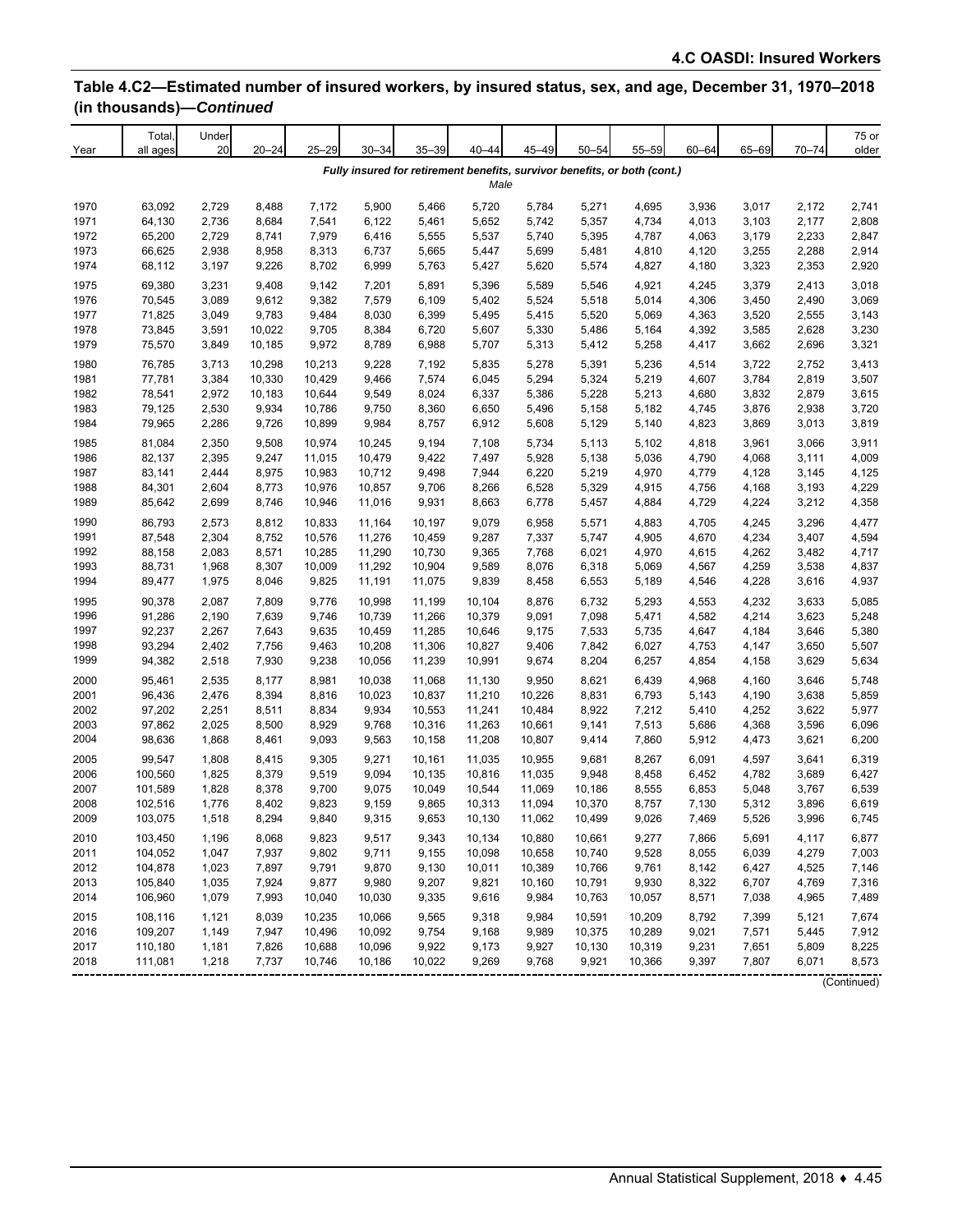| Year         | Total,<br>all ages | Under<br>20    | $20 - 24$      | $25 - 29$      | $30 - 34$        | $35 - 39$        | $40 - 44$        | 45-49           | $50 - 54$      | $55 - 59$                                                                 | $60 - 64$      | 65-69          | $70 - 74$      | 75 or<br>older |
|--------------|--------------------|----------------|----------------|----------------|------------------|------------------|------------------|-----------------|----------------|---------------------------------------------------------------------------|----------------|----------------|----------------|----------------|
|              |                    |                |                |                |                  |                  | Male             |                 |                | Fully insured for retirement benefits, survivor benefits, or both (cont.) |                |                |                |                |
| 1970         | 63,092             | 2,729          | 8,488          | 7,172          | 5,900            | 5,466            | 5,720            | 5,784           | 5,271          | 4,695                                                                     | 3,936          | 3,017          | 2,172          | 2,741          |
| 1971         | 64,130             | 2,736          | 8,684          | 7,541          | 6,122            | 5,461            | 5,652            | 5,742           | 5,357          | 4,734                                                                     | 4,013          | 3,103          | 2,177          | 2,808          |
| 1972         | 65,200             | 2,729          | 8,741          | 7,979          | 6,416            | 5,555            | 5,537            | 5,740           | 5,395          | 4,787                                                                     | 4,063          | 3,179          | 2,233          | 2,847          |
| 1973         | 66,625             | 2,938          | 8,958          | 8,313          | 6,737            | 5,665            | 5,447            | 5,699           | 5,481          | 4,810                                                                     | 4,120          | 3,255          | 2,288          | 2,914          |
| 1974         | 68,112             | 3,197          | 9,226          | 8,702          | 6,999            | 5,763            | 5,427            | 5,620           | 5,574          | 4,827                                                                     | 4,180          | 3,323          | 2,353          | 2,920          |
| 1975         | 69,380             | 3,231          | 9,408          | 9,142          | 7,201            | 5,891            | 5,396            | 5,589           | 5,546          | 4,921                                                                     | 4,245          | 3,379          | 2,413          | 3,018          |
| 1976         | 70,545             | 3,089          | 9,612          | 9,382          | 7,579            | 6,109            | 5,402            | 5,524           | 5,518          | 5,014                                                                     | 4,306          | 3,450          | 2,490          | 3,069          |
| 1977         | 71,825             | 3,049          | 9,783          | 9,484          | 8,030            | 6,399            | 5,495            | 5,415           | 5,520          | 5,069                                                                     | 4,363          | 3,520          | 2,555          | 3,143          |
| 1978         | 73,845             | 3,591          | 10,022         | 9,705          | 8,384            | 6,720            | 5,607            | 5,330           | 5,486          | 5,164                                                                     | 4,392          | 3,585          | 2,628          | 3,230          |
| 1979         | 75,570             | 3,849          | 10,185         | 9,972          | 8,789            | 6,988            | 5,707            | 5,313           | 5,412          | 5,258                                                                     | 4,417          | 3,662          | 2,696          | 3,321          |
| 1980         | 76,785             | 3,713          | 10,298         | 10,213         | 9,228            | 7,192            | 5,835            | 5,278           | 5,391          | 5,236                                                                     | 4,514          | 3,722          | 2,752          | 3,413          |
| 1981         | 77,781             | 3,384          | 10,330         | 10,429         | 9,466            | 7,574            | 6,045            | 5,294           | 5,324          | 5,219                                                                     | 4,607          | 3,784          | 2,819          | 3,507          |
| 1982         | 78,541             | 2,972          | 10,183         | 10,644         | 9,549            | 8,024            | 6,337            | 5,386           | 5,228          | 5,213                                                                     | 4,680          | 3,832          | 2,879          | 3,615          |
| 1983         | 79,125             | 2,530          | 9,934          | 10,786         | 9,750            | 8,360            | 6,650            | 5,496           | 5,158          | 5,182                                                                     | 4,745          | 3,876          | 2,938          | 3,720          |
| 1984         | 79,965             | 2,286          | 9,726          | 10,899         | 9,984            | 8,757            | 6,912            | 5,608           | 5,129          | 5,140                                                                     | 4,823          | 3,869          | 3,013          | 3,819          |
| 1985         | 81,084             | 2,350          | 9,508          | 10,974         | 10,245           | 9,194            | 7,108            | 5,734           | 5,113          | 5,102                                                                     | 4,818          | 3,961          | 3,066          | 3,911          |
| 1986         | 82,137             | 2,395          | 9,247          | 11,015         | 10,479           | 9,422            | 7,497            | 5,928           | 5,138          | 5,036                                                                     | 4,790          | 4,068          | 3,111          | 4,009          |
| 1987         | 83,141             | 2,444          | 8,975          | 10,983         | 10,712           | 9,498            | 7,944            | 6,220           | 5,219          | 4,970                                                                     | 4,779          | 4,128          | 3,145          | 4,125          |
| 1988         | 84,301             | 2,604          | 8,773          | 10,976         | 10,857           | 9,706            | 8,266            | 6,528           | 5,329          | 4,915                                                                     | 4,756          | 4,168          | 3,193          | 4,229<br>4,358 |
| 1989         | 85,642             | 2,699          | 8,746          | 10,946         | 11,016           | 9,931            | 8,663            | 6,778           | 5,457          | 4,884                                                                     | 4,729          | 4,224          | 3,212          |                |
| 1990         | 86,793             | 2,573          | 8,812          | 10,833         | 11,164           | 10,197           | 9,079            | 6,958           | 5,571          | 4,883                                                                     | 4,705          | 4,245          | 3,296          | 4,477          |
| 1991         | 87,548             | 2,304          | 8,752          | 10,576         | 11,276           | 10,459           | 9,287            | 7,337           | 5,747          | 4,905                                                                     | 4,670          | 4,234          | 3,407          | 4,594          |
| 1992         | 88,158             | 2,083          | 8,571          | 10,285         | 11,290           | 10,730           | 9,365            | 7,768           | 6,021          | 4,970                                                                     | 4,615          | 4,262          | 3,482          | 4,717          |
| 1993<br>1994 | 88,731             | 1,968          | 8,307          | 10,009         | 11,292           | 10,904           | 9,589            | 8,076           | 6,318          | 5,069                                                                     | 4,567          | 4,259<br>4,228 | 3,538          | 4,837          |
|              | 89,477             | 1,975          | 8,046          | 9,825          | 11,191           | 11,075           | 9,839            | 8,458           | 6,553          | 5,189                                                                     | 4,546          |                | 3,616          | 4,937          |
| 1995         | 90,378             | 2,087          | 7,809          | 9,776          | 10,998           | 11,199           | 10,104           | 8,876           | 6,732          | 5,293                                                                     | 4,553          | 4,232          | 3,633          | 5,085          |
| 1996         | 91,286             | 2,190          | 7,639          | 9,746          | 10,739           | 11,266           | 10,379           | 9,091           | 7,098          | 5,471                                                                     | 4,582          | 4,214          | 3,623          | 5,248          |
| 1997         | 92,237<br>93,294   | 2,267          | 7,643          | 9,635          | 10,459           | 11,285           | 10,646           | 9,175           | 7,533          | 5,735                                                                     | 4,647          | 4,184          | 3,646          | 5,380<br>5,507 |
| 1998<br>1999 | 94,382             | 2,402<br>2,518 | 7,756<br>7,930 | 9,463<br>9,238 | 10,208<br>10,056 | 11,306<br>11,239 | 10,827<br>10,991 | 9,406<br>9,674  | 7,842<br>8,204 | 6,027<br>6,257                                                            | 4,753<br>4,854 | 4,147<br>4,158 | 3,650<br>3,629 | 5,634          |
|              |                    |                |                |                |                  |                  |                  |                 |                |                                                                           |                |                |                |                |
| 2000<br>2001 | 95,461<br>96,436   | 2,535<br>2,476 | 8,177<br>8,394 | 8,981<br>8,816 | 10,038<br>10,023 | 11,068<br>10,837 | 11,130<br>11,210 | 9,950<br>10,226 | 8,621<br>8,831 | 6,439<br>6,793                                                            | 4,968<br>5,143 | 4,160<br>4,190 | 3,646<br>3,638 | 5,748<br>5,859 |
| 2002         | 97,202             | 2,251          | 8,511          | 8,834          | 9,934            | 10,553           | 11,241           | 10,484          | 8,922          | 7,212                                                                     | 5,410          | 4,252          | 3,622          | 5,977          |
| 2003         | 97,862             | 2,025          | 8,500          | 8,929          | 9,768            | 10,316           | 11,263           | 10,661          | 9,141          | 7,513                                                                     | 5,686          | 4,368          | 3,596          | 6,096          |
| 2004         | 98,636             | 1,868          | 8,461          | 9,093          | 9,563            | 10,158           | 11,208           | 10,807          | 9,414          | 7,860                                                                     | 5,912          | 4,473          | 3,621          | 6,200          |
| 2005         | 99,547             | 1,808          | 8,415          | 9,305          | 9,271            | 10,161           | 11,035           | 10,955          | 9,681          | 8,267                                                                     | 6,091          | 4,597          | 3,641          | 6,319          |
| 2006         | 100,560            | 1,825          | 8,379          | 9,519          | 9,094            | 10,135           | 10,816           | 11,035          | 9,948          | 8,458                                                                     | 6,452          | 4,782          | 3,689          | 6,427          |
| 2007         | 101,589            | 1,828          | 8,378          | 9,700          | 9,075            | 10,049           | 10,544           | 11,069          | 10,186         | 8,555                                                                     | 6,853          | 5,048          | 3,767          | 6,539          |
| 2008         | 102,516            | 1,776          | 8,402          | 9,823          | 9,159            | 9,865            | 10.313           | 11,094          | 10,370         | 8,757                                                                     | 7,130          | 5,312          | 3,896          | 6,619          |
| 2009         | 103,075            | 1,518          | 8,294          | 9,840          | 9,315            | 9,653            | 10,130           | 11,062          | 10,499         | 9,026                                                                     | 7,469          | 5,526          | 3,996          | 6,745          |
| 2010         | 103,450            | 1,196          | 8,068          | 9,823          | 9,517            | 9,343            | 10,134           | 10,880          | 10,661         | 9,277                                                                     | 7,866          | 5,691          | 4,117          | 6,877          |
| 2011         | 104,052            | 1,047          | 7,937          | 9,802          | 9,711            | 9,155            | 10,098           | 10,658          | 10,740         | 9,528                                                                     | 8,055          | 6,039          | 4,279          | 7,003          |
| 2012         | 104,878            | 1,023          | 7,897          | 9,791          | 9,870            | 9,130            | 10,011           | 10,389          | 10,766         | 9,761                                                                     | 8,142          | 6,427          | 4,525          | 7,146          |
| 2013         | 105,840            | 1,035          | 7,924          | 9,877          | 9,980            | 9,207            | 9,821            | 10,160          | 10,791         | 9,930                                                                     | 8,322          | 6,707          | 4,769          | 7,316          |
| 2014         | 106,960            | 1,079          | 7,993          | 10,040         | 10,030           | 9,335            | 9,616            | 9,984           | 10,763         | 10,057                                                                    | 8,571          | 7,038          | 4,965          | 7,489          |
| 2015         | 108,116            | 1,121          | 8,039          | 10,235         | 10,066           | 9,565            | 9,318            | 9,984           | 10,591         | 10,209                                                                    | 8,792          | 7,399          | 5,121          | 7,674          |
| 2016         | 109,207            | 1,149          | 7,947          | 10,496         | 10,092           | 9,754            | 9,168            | 9,989           | 10,375         | 10,289                                                                    | 9,021          | 7,571          | 5,445          | 7,912          |
| 2017         | 110,180            | 1,181          | 7,826          | 10,688         | 10,096           | 9,922            | 9,173            | 9,927           | 10,130         | 10,319                                                                    | 9,231          | 7,651          | 5,809          | 8,225          |
| 2018         | 111,081            | 1,218          | 7,737          | 10,746         | 10,186           | 10,022           | 9,269            | 9,768           | 9,921          | 10,366                                                                    | 9,397          | 7,807          | 6,071          | 8,573          |
|              |                    |                |                |                |                  |                  |                  |                 |                |                                                                           |                |                |                | (Continued)    |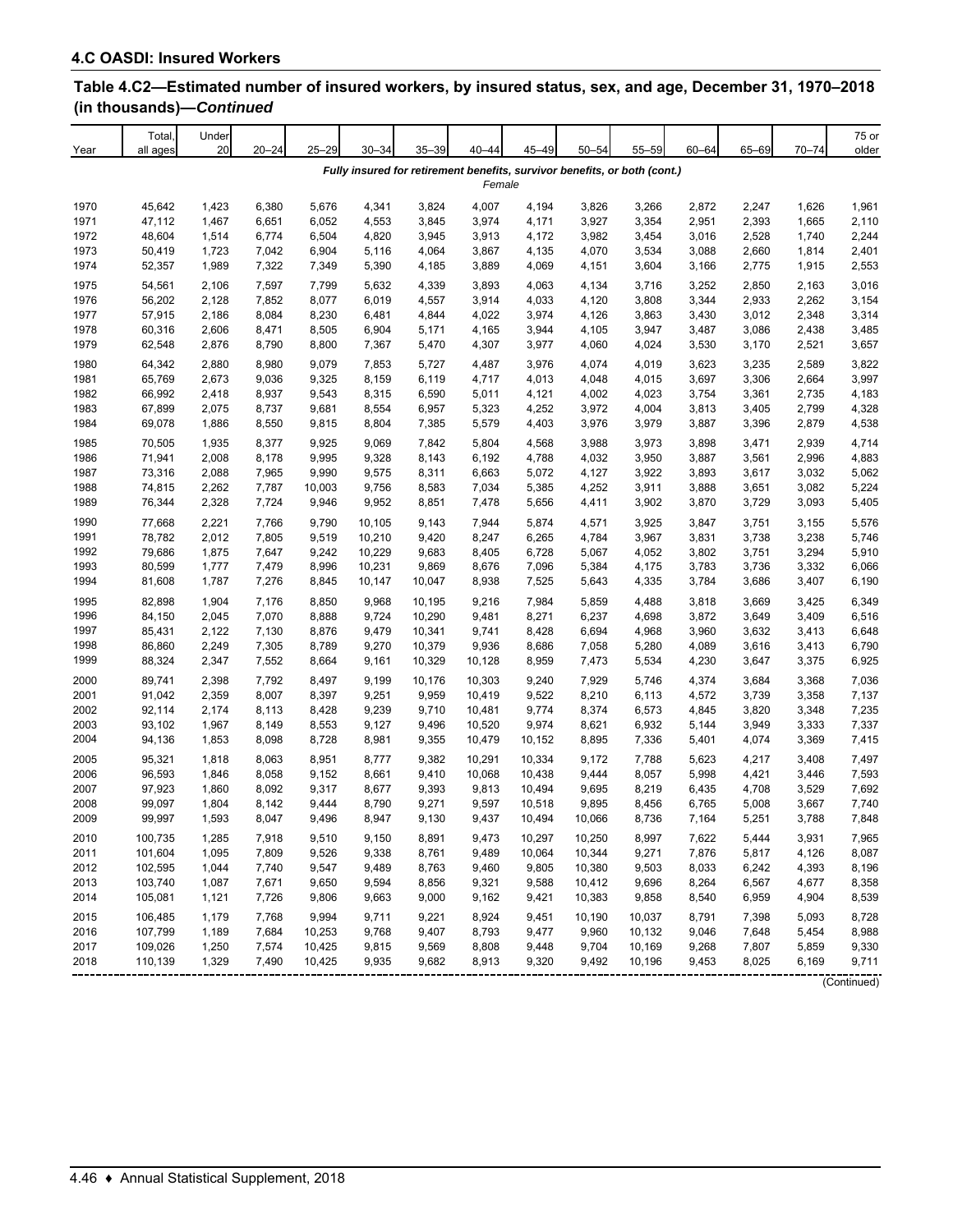| Year | Total<br>all ages | Under<br>20 | $20 - 24$ | $25 - 29$ | $30 - 34$ | $35 - 39$ | $40 - 44$ | 45-49  | $50 - 54$ | $55 - 59$                                                                 | $60 - 64$ | 65-69 | $70 - 74$ | 75 or<br>older |
|------|-------------------|-------------|-----------|-----------|-----------|-----------|-----------|--------|-----------|---------------------------------------------------------------------------|-----------|-------|-----------|----------------|
|      |                   |             |           |           |           |           | Female    |        |           | Fully insured for retirement benefits, survivor benefits, or both (cont.) |           |       |           |                |
| 1970 | 45,642            | 1,423       | 6,380     | 5,676     | 4,341     | 3,824     | 4,007     | 4,194  | 3,826     | 3,266                                                                     | 2,872     | 2,247 | 1,626     | 1,961          |
| 1971 | 47,112            | 1,467       | 6,651     | 6,052     | 4,553     | 3,845     | 3,974     | 4,171  | 3,927     | 3,354                                                                     | 2,951     | 2,393 | 1,665     | 2,110          |
| 1972 | 48,604            | 1,514       | 6,774     | 6,504     | 4,820     | 3,945     | 3,913     | 4,172  | 3,982     | 3,454                                                                     | 3,016     | 2,528 | 1,740     | 2,244          |
| 1973 | 50,419            | 1,723       | 7,042     | 6,904     | 5,116     | 4,064     | 3,867     | 4,135  | 4,070     | 3,534                                                                     | 3,088     | 2,660 | 1,814     | 2,401          |
| 1974 | 52,357            | 1,989       | 7,322     | 7,349     | 5,390     | 4,185     | 3,889     | 4,069  | 4,151     | 3,604                                                                     | 3,166     | 2,775 | 1,915     | 2,553          |
| 1975 | 54,561            | 2,106       | 7,597     | 7,799     | 5,632     | 4,339     | 3,893     | 4,063  | 4,134     | 3,716                                                                     | 3,252     | 2,850 | 2,163     | 3,016          |
| 1976 | 56,202            | 2,128       | 7,852     | 8,077     | 6,019     | 4,557     | 3,914     | 4,033  | 4,120     | 3,808                                                                     | 3,344     | 2,933 | 2,262     | 3,154          |
| 1977 | 57,915            | 2,186       | 8,084     | 8,230     | 6,481     | 4,844     | 4,022     | 3,974  | 4,126     | 3,863                                                                     | 3,430     | 3,012 | 2,348     | 3,314          |
| 1978 | 60,316            | 2,606       | 8,471     | 8,505     | 6,904     | 5,171     | 4,165     | 3,944  | 4,105     | 3,947                                                                     | 3,487     | 3,086 | 2,438     | 3,485          |
| 1979 | 62,548            | 2,876       | 8,790     | 8,800     | 7,367     | 5,470     | 4,307     | 3,977  | 4,060     | 4,024                                                                     | 3,530     | 3,170 | 2,521     | 3,657          |
| 1980 | 64,342            | 2,880       | 8,980     | 9,079     | 7,853     | 5,727     | 4,487     | 3,976  | 4,074     | 4,019                                                                     | 3,623     | 3,235 | 2,589     | 3,822          |
| 1981 | 65,769            | 2,673       | 9,036     | 9,325     | 8,159     | 6,119     | 4,717     | 4,013  | 4,048     | 4,015                                                                     | 3,697     | 3,306 | 2,664     | 3,997          |
| 1982 | 66,992            | 2,418       | 8,937     | 9,543     | 8,315     | 6,590     | 5,011     | 4,121  | 4,002     | 4,023                                                                     | 3,754     | 3,361 | 2,735     | 4,183          |
| 1983 | 67,899            | 2,075       | 8,737     | 9,681     | 8,554     | 6,957     | 5,323     | 4,252  | 3,972     | 4,004                                                                     | 3,813     | 3,405 | 2,799     | 4,328          |
| 1984 | 69,078            | 1,886       | 8,550     | 9,815     | 8,804     | 7,385     | 5,579     | 4,403  | 3,976     | 3,979                                                                     | 3,887     | 3,396 | 2,879     | 4,538          |
| 1985 | 70,505            | 1,935       | 8,377     | 9,925     | 9,069     | 7,842     | 5,804     | 4,568  | 3,988     | 3,973                                                                     | 3,898     | 3,471 | 2,939     | 4,714          |
| 1986 | 71,941            | 2,008       | 8,178     | 9,995     | 9,328     | 8,143     | 6,192     | 4,788  | 4,032     | 3,950                                                                     | 3,887     | 3,561 | 2,996     | 4,883          |
| 1987 | 73,316            | 2,088       | 7,965     | 9,990     | 9,575     | 8,311     | 6,663     | 5,072  | 4,127     | 3,922                                                                     | 3,893     | 3,617 | 3,032     | 5,062          |
| 1988 | 74,815            | 2,262       | 7,787     | 10,003    | 9,756     | 8,583     | 7,034     | 5,385  | 4,252     | 3,911                                                                     | 3,888     | 3,651 | 3,082     | 5,224          |
| 1989 | 76,344            | 2,328       | 7,724     | 9,946     | 9,952     | 8,851     | 7,478     | 5,656  | 4,411     | 3,902                                                                     | 3,870     | 3,729 | 3,093     | 5,405          |
| 1990 | 77,668            | 2,221       | 7,766     | 9,790     | 10,105    | 9,143     | 7,944     | 5,874  | 4,571     | 3,925                                                                     | 3,847     | 3,751 | 3,155     | 5,576          |
| 1991 | 78,782            | 2,012       | 7,805     | 9,519     | 10,210    | 9,420     | 8,247     | 6,265  | 4,784     | 3,967                                                                     | 3,831     | 3,738 | 3,238     | 5,746          |
| 1992 | 79,686            | 1,875       | 7,647     | 9,242     | 10,229    | 9,683     | 8,405     | 6,728  | 5,067     | 4,052                                                                     | 3,802     | 3,751 | 3,294     | 5,910          |
| 1993 | 80,599            | 1,777       | 7,479     | 8,996     | 10,231    | 9,869     | 8,676     | 7,096  | 5,384     | 4,175                                                                     | 3,783     | 3,736 | 3,332     | 6,066          |
| 1994 | 81,608            | 1,787       | 7,276     | 8,845     | 10,147    | 10,047    | 8,938     | 7,525  | 5,643     | 4,335                                                                     | 3,784     | 3,686 | 3,407     | 6,190          |
| 1995 | 82,898            | 1,904       | 7,176     | 8,850     | 9,968     | 10,195    | 9,216     | 7,984  | 5,859     | 4,488                                                                     | 3,818     | 3,669 | 3,425     | 6,349          |
| 1996 | 84,150            | 2,045       | 7,070     | 8,888     | 9,724     | 10,290    | 9,481     | 8,271  | 6,237     | 4,698                                                                     | 3,872     | 3,649 | 3,409     | 6,516          |
| 1997 | 85,431            | 2,122       | 7,130     | 8,876     | 9,479     | 10,341    | 9,741     | 8,428  | 6,694     | 4,968                                                                     | 3,960     | 3,632 | 3,413     | 6,648          |
| 1998 | 86,860            | 2,249       | 7,305     | 8,789     | 9,270     | 10,379    | 9,936     | 8,686  | 7,058     | 5,280                                                                     | 4,089     | 3,616 | 3,413     | 6,790          |
| 1999 | 88,324            | 2,347       | 7,552     | 8,664     | 9,161     | 10,329    | 10,128    | 8,959  | 7,473     | 5,534                                                                     | 4,230     | 3,647 | 3,375     | 6,925          |
| 2000 | 89,741            | 2,398       | 7,792     | 8,497     | 9,199     | 10,176    | 10,303    | 9,240  | 7,929     | 5,746                                                                     | 4,374     | 3,684 | 3,368     | 7,036          |
| 2001 | 91,042            | 2,359       | 8,007     | 8,397     | 9,251     | 9,959     | 10,419    | 9,522  | 8,210     | 6,113                                                                     | 4,572     | 3,739 | 3,358     | 7,137          |
| 2002 | 92,114            | 2,174       | 8,113     | 8,428     | 9,239     | 9,710     | 10,481    | 9,774  | 8,374     | 6,573                                                                     | 4,845     | 3,820 | 3,348     | 7,235          |
| 2003 | 93,102            | 1,967       | 8,149     | 8,553     | 9,127     | 9,496     | 10,520    | 9,974  | 8,621     | 6,932                                                                     | 5,144     | 3,949 | 3,333     | 7,337          |
| 2004 | 94,136            | 1,853       | 8,098     | 8,728     | 8,981     | 9,355     | 10,479    | 10,152 | 8,895     | 7,336                                                                     | 5,401     | 4,074 | 3,369     | 7,415          |
| 2005 | 95,321            | 1,818       | 8,063     | 8,951     | 8,777     | 9,382     | 10,291    | 10,334 | 9,172     | 7,788                                                                     | 5,623     | 4,217 | 3,408     | 7,497          |
| 2006 | 96,593            | 1,846       | 8,058     | 9,152     | 8,661     | 9,410     | 10,068    | 10,438 | 9,444     | 8,057                                                                     | 5,998     | 4,421 | 3,446     | 7,593          |
| 2007 | 97,923            | 1,860       | 8,092     | 9,317     | 8,677     | 9,393     | 9,813     | 10,494 | 9,695     | 8,219                                                                     | 6,435     | 4,708 | 3,529     | 7,692          |
| 2008 | 99,097            | 1,804       | 8,142     | 9,444     | 8,790     | 9,271     | 9,597     | 10,518 | 9,895     | 8,456                                                                     | 6,765     | 5,008 | 3,667     | 7,740          |
| 2009 | 99,997            | 1,593       | 8,047     | 9,496     | 8,947     | 9,130     | 9,437     | 10,494 | 10,066    | 8,736                                                                     | 7,164     | 5,251 | 3,788     | 7,848          |
| 2010 | 100,735           | 1,285       | 7,918     | 9,510     | 9,150     | 8,891     | 9,473     | 10,297 | 10,250    | 8,997                                                                     | 7,622     | 5,444 | 3,931     | 7,965          |
| 2011 | 101,604           | 1,095       | 7,809     | 9,526     | 9,338     | 8,761     | 9,489     | 10,064 | 10,344    | 9,271                                                                     | 7,876     | 5,817 | 4,126     | 8,087          |
| 2012 | 102,595           | 1,044       | 7,740     | 9,547     | 9,489     | 8,763     | 9,460     | 9,805  | 10,380    | 9,503                                                                     | 8,033     | 6,242 | 4,393     | 8,196          |
| 2013 | 103,740           | 1,087       | 7,671     | 9,650     | 9,594     | 8,856     | 9,321     | 9,588  | 10,412    | 9,696                                                                     | 8,264     | 6,567 | 4,677     | 8,358          |
| 2014 | 105,081           | 1,121       | 7,726     | 9,806     | 9,663     | 9,000     | 9,162     | 9,421  | 10,383    | 9,858                                                                     | 8,540     | 6,959 | 4,904     | 8,539          |
| 2015 | 106,485           | 1,179       | 7,768     | 9,994     | 9,711     | 9,221     | 8,924     | 9,451  | 10,190    | 10,037                                                                    | 8,791     | 7,398 | 5,093     | 8,728          |
| 2016 | 107,799           | 1,189       | 7,684     | 10,253    | 9,768     | 9,407     | 8,793     | 9,477  | 9,960     | 10,132                                                                    | 9,046     | 7,648 | 5,454     | 8,988          |
| 2017 | 109,026           | 1,250       | 7,574     | 10,425    | 9,815     | 9,569     | 8,808     | 9,448  | 9,704     | 10,169                                                                    | 9,268     | 7,807 | 5,859     | 9,330          |
| 2018 | 110,139           | 1,329       | 7,490     | 10,425    | 9,935     | 9,682     | 8,913     | 9,320  | 9,492     | 10,196                                                                    | 9,453     | 8,025 | 6,169     | 9,711          |
|      |                   |             |           |           |           |           |           |        |           |                                                                           |           |       |           | (Continued)    |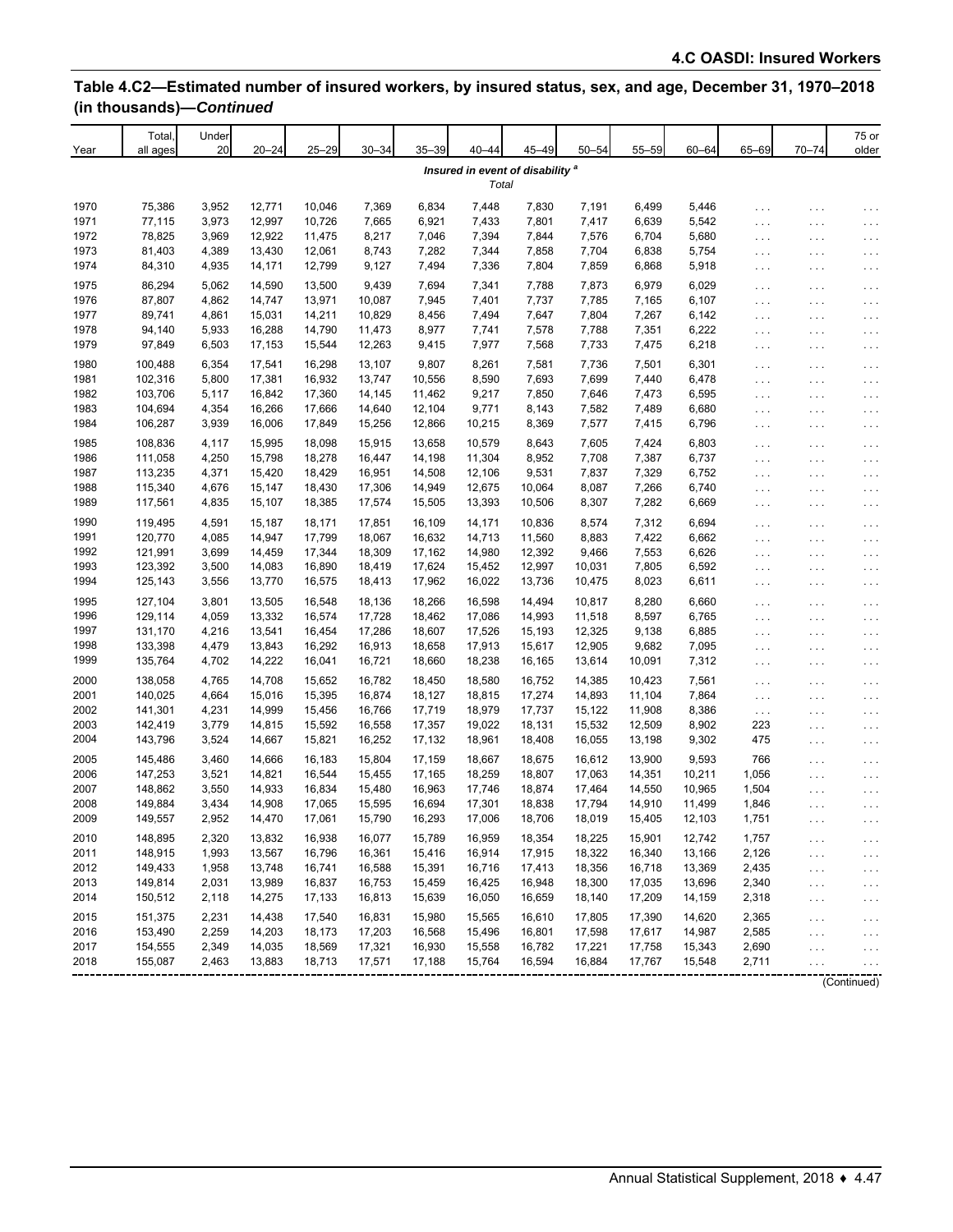| 20<br>$20 - 24$<br>$25 - 29$<br>$30 - 34$<br>$35 - 39$<br>45-49<br>$50 - 54$<br>$55 - 59$<br>65-69<br>$70 - 74$<br>Year<br>$40 - 44$<br>$60 - 64$<br>all ages<br>Insured in event of disability <sup>a</sup><br>Total<br>3,952<br>1970<br>75,386<br>12,771<br>10,046<br>7,369<br>6,834<br>7,448<br>7,830<br>7,191<br>6,499<br>5,446<br>$\cdots$<br>.<br>1971<br>3,973<br>12,997<br>5,542<br>77,115<br>10,726<br>7,665<br>6,921<br>7,433<br>7,801<br>7,417<br>6,639<br>$\sim$ $\sim$ $\sim$<br>.<br>78,825<br>3,969<br>12,922<br>1972<br>11,475<br>8,217<br>7,046<br>7,394<br>7,844<br>7,576<br>6,704<br>5,680<br>$\ldots$<br>$\cdots$<br>4,389<br>7,282<br>6,838<br>5,754<br>1973<br>81,403<br>13,430<br>12,061<br>8,743<br>7,344<br>7,858<br>7,704<br>$\cdots$<br>$\cdots$<br>1974<br>84,310<br>4,935<br>14,171<br>12,799<br>9,127<br>7,494<br>7,336<br>7,804<br>7,859<br>6,868<br>5,918<br>$\ldots$<br>$\cdots$<br>1975<br>86,294<br>5,062<br>7,694<br>6,029<br>14,590<br>13,500<br>9,439<br>7,341<br>7,788<br>7,873<br>6,979<br>$\cdots$<br>$\cdots$<br>87,807<br>1976<br>4,862<br>14,747<br>13,971<br>10,087<br>7,945<br>7,401<br>7,737<br>7,785<br>7,165<br>6,107<br>$\sim$ $\sim$ $\sim$<br>$\cdots$<br>89,741<br>1977<br>4,861<br>15,031<br>14,211<br>10,829<br>8,456<br>7,494<br>7,647<br>7,804<br>7,267<br>6,142<br>$\sim$ $\sim$ $\sim$<br>.<br>1978<br>94,140<br>5,933<br>16,288<br>14,790<br>11,473<br>8,977<br>7,578<br>7,788<br>7,351<br>6,222<br>7,741<br>$\cdots$<br>.<br>1979<br>97,849<br>6,503<br>17,153<br>15,544<br>12,263<br>9,415<br>7,977<br>7,568<br>7,733<br>7,475<br>6,218<br>$\cdots$<br>.<br>6,354<br>16,298<br>9,807<br>1980<br>100,488<br>17,541<br>13,107<br>8,261<br>7,581<br>7,736<br>7,501<br>6,301<br>$\ldots$<br>.<br>5,800<br>1981<br>102,316<br>17,381<br>16,932<br>13,747<br>10,556<br>8,590<br>7,693<br>7,699<br>7,440<br>6,478<br>$\sim$ $\sim$ $\sim$<br>$\cdots$<br>1982<br>103,706<br>5,117<br>16,842<br>17,360<br>14,145<br>11,462<br>9,217<br>7,850<br>7,646<br>7,473<br>6,595<br>$\cdots$<br>.<br>1983<br>104,694<br>4,354<br>16,266<br>17,666<br>14,640<br>12,104<br>9,771<br>8,143<br>7,582<br>7,489<br>6,680<br>$\ldots$ .<br>.<br>1984<br>3,939<br>6,796<br>106,287<br>16,006<br>17,849<br>15,256<br>12,866<br>10,215<br>8,369<br>7,577<br>7,415<br>$\cdots$<br>$\sim$ $\sim$ $\sim$ | 75 or<br>older                                                     |
|------------------------------------------------------------------------------------------------------------------------------------------------------------------------------------------------------------------------------------------------------------------------------------------------------------------------------------------------------------------------------------------------------------------------------------------------------------------------------------------------------------------------------------------------------------------------------------------------------------------------------------------------------------------------------------------------------------------------------------------------------------------------------------------------------------------------------------------------------------------------------------------------------------------------------------------------------------------------------------------------------------------------------------------------------------------------------------------------------------------------------------------------------------------------------------------------------------------------------------------------------------------------------------------------------------------------------------------------------------------------------------------------------------------------------------------------------------------------------------------------------------------------------------------------------------------------------------------------------------------------------------------------------------------------------------------------------------------------------------------------------------------------------------------------------------------------------------------------------------------------------------------------------------------------------------------------------------------------------------------------------------------------------------------------------------------------------------------------------------------------------------------------------------------------------------------------------------------------------------------------------------------------------------------------------------------------------------------|--------------------------------------------------------------------|
|                                                                                                                                                                                                                                                                                                                                                                                                                                                                                                                                                                                                                                                                                                                                                                                                                                                                                                                                                                                                                                                                                                                                                                                                                                                                                                                                                                                                                                                                                                                                                                                                                                                                                                                                                                                                                                                                                                                                                                                                                                                                                                                                                                                                                                                                                                                                          |                                                                    |
|                                                                                                                                                                                                                                                                                                                                                                                                                                                                                                                                                                                                                                                                                                                                                                                                                                                                                                                                                                                                                                                                                                                                                                                                                                                                                                                                                                                                                                                                                                                                                                                                                                                                                                                                                                                                                                                                                                                                                                                                                                                                                                                                                                                                                                                                                                                                          |                                                                    |
|                                                                                                                                                                                                                                                                                                                                                                                                                                                                                                                                                                                                                                                                                                                                                                                                                                                                                                                                                                                                                                                                                                                                                                                                                                                                                                                                                                                                                                                                                                                                                                                                                                                                                                                                                                                                                                                                                                                                                                                                                                                                                                                                                                                                                                                                                                                                          | $\cdots$                                                           |
|                                                                                                                                                                                                                                                                                                                                                                                                                                                                                                                                                                                                                                                                                                                                                                                                                                                                                                                                                                                                                                                                                                                                                                                                                                                                                                                                                                                                                                                                                                                                                                                                                                                                                                                                                                                                                                                                                                                                                                                                                                                                                                                                                                                                                                                                                                                                          | $\cdots$                                                           |
|                                                                                                                                                                                                                                                                                                                                                                                                                                                                                                                                                                                                                                                                                                                                                                                                                                                                                                                                                                                                                                                                                                                                                                                                                                                                                                                                                                                                                                                                                                                                                                                                                                                                                                                                                                                                                                                                                                                                                                                                                                                                                                                                                                                                                                                                                                                                          | $\epsilon \rightarrow \epsilon$                                    |
|                                                                                                                                                                                                                                                                                                                                                                                                                                                                                                                                                                                                                                                                                                                                                                                                                                                                                                                                                                                                                                                                                                                                                                                                                                                                                                                                                                                                                                                                                                                                                                                                                                                                                                                                                                                                                                                                                                                                                                                                                                                                                                                                                                                                                                                                                                                                          | $\cdots$                                                           |
|                                                                                                                                                                                                                                                                                                                                                                                                                                                                                                                                                                                                                                                                                                                                                                                                                                                                                                                                                                                                                                                                                                                                                                                                                                                                                                                                                                                                                                                                                                                                                                                                                                                                                                                                                                                                                                                                                                                                                                                                                                                                                                                                                                                                                                                                                                                                          | $\epsilon \rightarrow \epsilon$                                    |
|                                                                                                                                                                                                                                                                                                                                                                                                                                                                                                                                                                                                                                                                                                                                                                                                                                                                                                                                                                                                                                                                                                                                                                                                                                                                                                                                                                                                                                                                                                                                                                                                                                                                                                                                                                                                                                                                                                                                                                                                                                                                                                                                                                                                                                                                                                                                          | $\epsilon \rightarrow \epsilon$                                    |
|                                                                                                                                                                                                                                                                                                                                                                                                                                                                                                                                                                                                                                                                                                                                                                                                                                                                                                                                                                                                                                                                                                                                                                                                                                                                                                                                                                                                                                                                                                                                                                                                                                                                                                                                                                                                                                                                                                                                                                                                                                                                                                                                                                                                                                                                                                                                          | $\sim$ $\sim$                                                      |
|                                                                                                                                                                                                                                                                                                                                                                                                                                                                                                                                                                                                                                                                                                                                                                                                                                                                                                                                                                                                                                                                                                                                                                                                                                                                                                                                                                                                                                                                                                                                                                                                                                                                                                                                                                                                                                                                                                                                                                                                                                                                                                                                                                                                                                                                                                                                          | $\ldots$                                                           |
|                                                                                                                                                                                                                                                                                                                                                                                                                                                                                                                                                                                                                                                                                                                                                                                                                                                                                                                                                                                                                                                                                                                                                                                                                                                                                                                                                                                                                                                                                                                                                                                                                                                                                                                                                                                                                                                                                                                                                                                                                                                                                                                                                                                                                                                                                                                                          | $\epsilon \rightarrow \epsilon$                                    |
|                                                                                                                                                                                                                                                                                                                                                                                                                                                                                                                                                                                                                                                                                                                                                                                                                                                                                                                                                                                                                                                                                                                                                                                                                                                                                                                                                                                                                                                                                                                                                                                                                                                                                                                                                                                                                                                                                                                                                                                                                                                                                                                                                                                                                                                                                                                                          | $\cdots$                                                           |
|                                                                                                                                                                                                                                                                                                                                                                                                                                                                                                                                                                                                                                                                                                                                                                                                                                                                                                                                                                                                                                                                                                                                                                                                                                                                                                                                                                                                                                                                                                                                                                                                                                                                                                                                                                                                                                                                                                                                                                                                                                                                                                                                                                                                                                                                                                                                          | $\epsilon \rightarrow \epsilon$                                    |
|                                                                                                                                                                                                                                                                                                                                                                                                                                                                                                                                                                                                                                                                                                                                                                                                                                                                                                                                                                                                                                                                                                                                                                                                                                                                                                                                                                                                                                                                                                                                                                                                                                                                                                                                                                                                                                                                                                                                                                                                                                                                                                                                                                                                                                                                                                                                          | $\epsilon \rightarrow \epsilon$                                    |
|                                                                                                                                                                                                                                                                                                                                                                                                                                                                                                                                                                                                                                                                                                                                                                                                                                                                                                                                                                                                                                                                                                                                                                                                                                                                                                                                                                                                                                                                                                                                                                                                                                                                                                                                                                                                                                                                                                                                                                                                                                                                                                                                                                                                                                                                                                                                          | $\epsilon \rightarrow \epsilon$                                    |
|                                                                                                                                                                                                                                                                                                                                                                                                                                                                                                                                                                                                                                                                                                                                                                                                                                                                                                                                                                                                                                                                                                                                                                                                                                                                                                                                                                                                                                                                                                                                                                                                                                                                                                                                                                                                                                                                                                                                                                                                                                                                                                                                                                                                                                                                                                                                          | $\ldots$                                                           |
|                                                                                                                                                                                                                                                                                                                                                                                                                                                                                                                                                                                                                                                                                                                                                                                                                                                                                                                                                                                                                                                                                                                                                                                                                                                                                                                                                                                                                                                                                                                                                                                                                                                                                                                                                                                                                                                                                                                                                                                                                                                                                                                                                                                                                                                                                                                                          | $\epsilon \rightarrow \epsilon$                                    |
| 18,098<br>1985<br>108,836<br>4,117<br>15,995<br>15,915<br>13,658<br>10,579<br>8,643<br>7,605<br>7,424<br>6,803<br>$\cdots$<br>.                                                                                                                                                                                                                                                                                                                                                                                                                                                                                                                                                                                                                                                                                                                                                                                                                                                                                                                                                                                                                                                                                                                                                                                                                                                                                                                                                                                                                                                                                                                                                                                                                                                                                                                                                                                                                                                                                                                                                                                                                                                                                                                                                                                                          | $\sim$ $\sim$                                                      |
| 1986<br>4,250<br>8,952<br>6,737<br>111,058<br>15,798<br>18,278<br>16,447<br>14,198<br>11,304<br>7,708<br>7,387<br>$\ldots$<br>$\cdots$                                                                                                                                                                                                                                                                                                                                                                                                                                                                                                                                                                                                                                                                                                                                                                                                                                                                                                                                                                                                                                                                                                                                                                                                                                                                                                                                                                                                                                                                                                                                                                                                                                                                                                                                                                                                                                                                                                                                                                                                                                                                                                                                                                                                   | $\sim$ $\sim$                                                      |
| 1987<br>4,371<br>113,235<br>15,420<br>18,429<br>16,951<br>14,508<br>12,106<br>9,531<br>7,837<br>7,329<br>6,752<br>$\ldots$ .<br>$\cdots$                                                                                                                                                                                                                                                                                                                                                                                                                                                                                                                                                                                                                                                                                                                                                                                                                                                                                                                                                                                                                                                                                                                                                                                                                                                                                                                                                                                                                                                                                                                                                                                                                                                                                                                                                                                                                                                                                                                                                                                                                                                                                                                                                                                                 | $\sim$ $\sim$ $\sim$                                               |
| 1988<br>115,340<br>4,676<br>15,147<br>18,430<br>17,306<br>14,949<br>12,675<br>10,064<br>8,087<br>7,266<br>6,740<br>$\sim$ $\sim$ $\sim$<br>$\cdots$                                                                                                                                                                                                                                                                                                                                                                                                                                                                                                                                                                                                                                                                                                                                                                                                                                                                                                                                                                                                                                                                                                                                                                                                                                                                                                                                                                                                                                                                                                                                                                                                                                                                                                                                                                                                                                                                                                                                                                                                                                                                                                                                                                                      | $\cdots$                                                           |
| 1989<br>117,561<br>4,835<br>15,107<br>18,385<br>17,574<br>15,505<br>13,393<br>10,506<br>8,307<br>7,282<br>6,669<br>$\sim$ $\sim$ $\sim$<br>.                                                                                                                                                                                                                                                                                                                                                                                                                                                                                                                                                                                                                                                                                                                                                                                                                                                                                                                                                                                                                                                                                                                                                                                                                                                                                                                                                                                                                                                                                                                                                                                                                                                                                                                                                                                                                                                                                                                                                                                                                                                                                                                                                                                             | $\cdots$                                                           |
| 1990<br>4,591<br>10,836<br>119,495<br>15,187<br>18,171<br>17,851<br>16,109<br>14,171<br>8,574<br>7,312<br>6,694<br>$\cdots$<br>.                                                                                                                                                                                                                                                                                                                                                                                                                                                                                                                                                                                                                                                                                                                                                                                                                                                                                                                                                                                                                                                                                                                                                                                                                                                                                                                                                                                                                                                                                                                                                                                                                                                                                                                                                                                                                                                                                                                                                                                                                                                                                                                                                                                                         | $\sim$ $\sim$                                                      |
| 120,770<br>4,085<br>14,947<br>1991<br>17,799<br>18,067<br>16,632<br>14,713<br>11,560<br>8,883<br>7,422<br>6,662<br>$\cdots$<br>$\sim$ $\sim$ $\sim$                                                                                                                                                                                                                                                                                                                                                                                                                                                                                                                                                                                                                                                                                                                                                                                                                                                                                                                                                                                                                                                                                                                                                                                                                                                                                                                                                                                                                                                                                                                                                                                                                                                                                                                                                                                                                                                                                                                                                                                                                                                                                                                                                                                      | $\epsilon \rightarrow \epsilon$                                    |
| 1992<br>121,991<br>3,699<br>14,459<br>17,344<br>18,309<br>17,162<br>14,980<br>12,392<br>9,466<br>7,553<br>6,626<br>$\cdots$<br>$\cdots$                                                                                                                                                                                                                                                                                                                                                                                                                                                                                                                                                                                                                                                                                                                                                                                                                                                                                                                                                                                                                                                                                                                                                                                                                                                                                                                                                                                                                                                                                                                                                                                                                                                                                                                                                                                                                                                                                                                                                                                                                                                                                                                                                                                                  | $\epsilon \rightarrow \epsilon$                                    |
| 1993<br>123,392<br>3,500<br>14,083<br>16,890<br>18,419<br>17,624<br>15,452<br>12,997<br>10,031<br>7,805<br>6,592<br>$\cdots$<br>.                                                                                                                                                                                                                                                                                                                                                                                                                                                                                                                                                                                                                                                                                                                                                                                                                                                                                                                                                                                                                                                                                                                                                                                                                                                                                                                                                                                                                                                                                                                                                                                                                                                                                                                                                                                                                                                                                                                                                                                                                                                                                                                                                                                                        | $\cdots$                                                           |
| 1994<br>125,143<br>3,556<br>13,770<br>16,575<br>18,413<br>17,962<br>16,022<br>13,736<br>10,475<br>8,023<br>6,611<br>$\sim$ $\sim$ $\sim$<br>$\cdots$                                                                                                                                                                                                                                                                                                                                                                                                                                                                                                                                                                                                                                                                                                                                                                                                                                                                                                                                                                                                                                                                                                                                                                                                                                                                                                                                                                                                                                                                                                                                                                                                                                                                                                                                                                                                                                                                                                                                                                                                                                                                                                                                                                                     | $\ldots$                                                           |
| 3,801<br>13,505<br>1995<br>127,104<br>16,548<br>18,136<br>18,266<br>16,598<br>14,494<br>10,817<br>8,280<br>6,660<br>$\cdots$<br>$\cdots$                                                                                                                                                                                                                                                                                                                                                                                                                                                                                                                                                                                                                                                                                                                                                                                                                                                                                                                                                                                                                                                                                                                                                                                                                                                                                                                                                                                                                                                                                                                                                                                                                                                                                                                                                                                                                                                                                                                                                                                                                                                                                                                                                                                                 | $\sim$ $\sim$                                                      |
| 4,059<br>13,332<br>1996<br>129,114<br>16,574<br>17,728<br>18,462<br>17,086<br>14,993<br>11,518<br>8,597<br>6,765<br>$\cdots$<br>.                                                                                                                                                                                                                                                                                                                                                                                                                                                                                                                                                                                                                                                                                                                                                                                                                                                                                                                                                                                                                                                                                                                                                                                                                                                                                                                                                                                                                                                                                                                                                                                                                                                                                                                                                                                                                                                                                                                                                                                                                                                                                                                                                                                                        | $\epsilon \rightarrow \epsilon$                                    |
| 1997<br>131,170<br>4,216<br>13,541<br>17,286<br>9,138<br>16,454<br>18,607<br>17,526<br>15,193<br>12,325<br>6,885<br>$\cdots$<br>$\cdots$                                                                                                                                                                                                                                                                                                                                                                                                                                                                                                                                                                                                                                                                                                                                                                                                                                                                                                                                                                                                                                                                                                                                                                                                                                                                                                                                                                                                                                                                                                                                                                                                                                                                                                                                                                                                                                                                                                                                                                                                                                                                                                                                                                                                 | $\epsilon \rightarrow \epsilon$                                    |
| 1998<br>133,398<br>4,479<br>13,843<br>16,292<br>16,913<br>18,658<br>17,913<br>15,617<br>12,905<br>9,682<br>7,095<br>$\cdots$<br>$\cdots$                                                                                                                                                                                                                                                                                                                                                                                                                                                                                                                                                                                                                                                                                                                                                                                                                                                                                                                                                                                                                                                                                                                                                                                                                                                                                                                                                                                                                                                                                                                                                                                                                                                                                                                                                                                                                                                                                                                                                                                                                                                                                                                                                                                                 | $\epsilon \rightarrow \epsilon$                                    |
| 1999<br>135,764<br>4,702<br>14,222<br>16,041<br>16,721<br>18,660<br>18,238<br>16,165<br>13,614<br>10,091<br>7,312<br>$\sim$ $\sim$ $\sim$<br>$\cdots$                                                                                                                                                                                                                                                                                                                                                                                                                                                                                                                                                                                                                                                                                                                                                                                                                                                                                                                                                                                                                                                                                                                                                                                                                                                                                                                                                                                                                                                                                                                                                                                                                                                                                                                                                                                                                                                                                                                                                                                                                                                                                                                                                                                    | $\sim$ $\sim$                                                      |
| 2000<br>4,765<br>138,058<br>14,708<br>15,652<br>16,782<br>18,450<br>18,580<br>16,752<br>14,385<br>10,423<br>7,561<br>$\ldots$<br>$\cdots$                                                                                                                                                                                                                                                                                                                                                                                                                                                                                                                                                                                                                                                                                                                                                                                                                                                                                                                                                                                                                                                                                                                                                                                                                                                                                                                                                                                                                                                                                                                                                                                                                                                                                                                                                                                                                                                                                                                                                                                                                                                                                                                                                                                                | $\cdots$                                                           |
| 2001<br>140,025<br>4,664<br>15,016<br>15,395<br>16,874<br>18,127<br>18,815<br>17,274<br>14,893<br>11,104<br>7,864<br>$\sim$ $\sim$ $\sim$<br>$\cdots$                                                                                                                                                                                                                                                                                                                                                                                                                                                                                                                                                                                                                                                                                                                                                                                                                                                                                                                                                                                                                                                                                                                                                                                                                                                                                                                                                                                                                                                                                                                                                                                                                                                                                                                                                                                                                                                                                                                                                                                                                                                                                                                                                                                    | $\epsilon \rightarrow \epsilon$                                    |
| 141,301<br>2002<br>4,231<br>14,999<br>15,456<br>16,766<br>17,719<br>18,979<br>17,737<br>15,122<br>11,908<br>8,386<br>$\epsilon \rightarrow \infty$<br>$\cdots$                                                                                                                                                                                                                                                                                                                                                                                                                                                                                                                                                                                                                                                                                                                                                                                                                                                                                                                                                                                                                                                                                                                                                                                                                                                                                                                                                                                                                                                                                                                                                                                                                                                                                                                                                                                                                                                                                                                                                                                                                                                                                                                                                                           | $\epsilon \rightarrow \epsilon$                                    |
| 8,902<br>2003<br>142,419<br>3,779<br>14,815<br>15,592<br>16,558<br>17,357<br>19,022<br>18,131<br>15,532<br>12,509<br>223<br>$\cdots$                                                                                                                                                                                                                                                                                                                                                                                                                                                                                                                                                                                                                                                                                                                                                                                                                                                                                                                                                                                                                                                                                                                                                                                                                                                                                                                                                                                                                                                                                                                                                                                                                                                                                                                                                                                                                                                                                                                                                                                                                                                                                                                                                                                                     | $\epsilon \rightarrow \epsilon$                                    |
| 2004<br>143,796<br>3,524<br>14,667<br>15,821<br>16,252<br>17,132<br>18,961<br>18,408<br>16,055<br>13,198<br>9,302<br>475<br>$\cdots$                                                                                                                                                                                                                                                                                                                                                                                                                                                                                                                                                                                                                                                                                                                                                                                                                                                                                                                                                                                                                                                                                                                                                                                                                                                                                                                                                                                                                                                                                                                                                                                                                                                                                                                                                                                                                                                                                                                                                                                                                                                                                                                                                                                                     | $\epsilon \rightarrow \epsilon$                                    |
| 2005<br>3,460<br>766<br>145,486<br>14,666<br>16,183<br>15,804<br>17,159<br>18,667<br>18,675<br>16,612<br>13,900<br>9,593<br>.                                                                                                                                                                                                                                                                                                                                                                                                                                                                                                                                                                                                                                                                                                                                                                                                                                                                                                                                                                                                                                                                                                                                                                                                                                                                                                                                                                                                                                                                                                                                                                                                                                                                                                                                                                                                                                                                                                                                                                                                                                                                                                                                                                                                            | $\cdots$                                                           |
| 147,253<br>2006<br>3,521<br>14,821<br>16,544<br>15,455<br>17,165<br>18,259<br>18,807<br>17,063<br>14,351<br>10,211<br>1,056<br>.                                                                                                                                                                                                                                                                                                                                                                                                                                                                                                                                                                                                                                                                                                                                                                                                                                                                                                                                                                                                                                                                                                                                                                                                                                                                                                                                                                                                                                                                                                                                                                                                                                                                                                                                                                                                                                                                                                                                                                                                                                                                                                                                                                                                         | $\cdots$                                                           |
| 2007<br>148,862<br>3,550<br>14,933<br>16,834<br>15,480<br>16,963<br>17,746<br>18,874<br>17,464<br>14,550<br>10,965<br>1,504<br>$\cdots$                                                                                                                                                                                                                                                                                                                                                                                                                                                                                                                                                                                                                                                                                                                                                                                                                                                                                                                                                                                                                                                                                                                                                                                                                                                                                                                                                                                                                                                                                                                                                                                                                                                                                                                                                                                                                                                                                                                                                                                                                                                                                                                                                                                                  | $\epsilon \rightarrow \epsilon$                                    |
| 2008<br>149,884<br>3,434<br>14.908<br>17,065<br>15,595<br>16,694<br>17,301<br>18,838<br>17,794<br>14,910<br>11,499<br>1,846<br>.                                                                                                                                                                                                                                                                                                                                                                                                                                                                                                                                                                                                                                                                                                                                                                                                                                                                                                                                                                                                                                                                                                                                                                                                                                                                                                                                                                                                                                                                                                                                                                                                                                                                                                                                                                                                                                                                                                                                                                                                                                                                                                                                                                                                         | $\cdots$                                                           |
| 149,557<br>2,952<br>16,293<br>18,706<br>2009<br>14,470<br>17,061<br>15,790<br>17,006<br>18,019<br>15,405<br>12,103<br>1,751<br>$\cdots$                                                                                                                                                                                                                                                                                                                                                                                                                                                                                                                                                                                                                                                                                                                                                                                                                                                                                                                                                                                                                                                                                                                                                                                                                                                                                                                                                                                                                                                                                                                                                                                                                                                                                                                                                                                                                                                                                                                                                                                                                                                                                                                                                                                                  | $\cdots$                                                           |
| 2010<br>2,320<br>148,895<br>13,832<br>16,938<br>16,077<br>15,789<br>16,959<br>18,354<br>18,225<br>15,901<br>12,742<br>1,757                                                                                                                                                                                                                                                                                                                                                                                                                                                                                                                                                                                                                                                                                                                                                                                                                                                                                                                                                                                                                                                                                                                                                                                                                                                                                                                                                                                                                                                                                                                                                                                                                                                                                                                                                                                                                                                                                                                                                                                                                                                                                                                                                                                                              |                                                                    |
| $\cdots$<br>2011<br>148,915<br>1,993<br>13,567<br>16,796<br>16,361<br>15,416<br>16,914<br>17,915<br>18,322<br>16,340<br>13,166<br>2,126<br>$\ldots$                                                                                                                                                                                                                                                                                                                                                                                                                                                                                                                                                                                                                                                                                                                                                                                                                                                                                                                                                                                                                                                                                                                                                                                                                                                                                                                                                                                                                                                                                                                                                                                                                                                                                                                                                                                                                                                                                                                                                                                                                                                                                                                                                                                      | $\cdots$<br>$\epsilon \rightarrow \epsilon$                        |
| 2012<br>149,433<br>1,958<br>13,748<br>16,741<br>16,588<br>15,391<br>16,716<br>17,413<br>18,356<br>16,718<br>13,369<br>2,435<br>$\cdots$                                                                                                                                                                                                                                                                                                                                                                                                                                                                                                                                                                                                                                                                                                                                                                                                                                                                                                                                                                                                                                                                                                                                                                                                                                                                                                                                                                                                                                                                                                                                                                                                                                                                                                                                                                                                                                                                                                                                                                                                                                                                                                                                                                                                  | $\epsilon \rightarrow \epsilon$                                    |
| 2013<br>149,814<br>2,031<br>13,989<br>16,837<br>16,753<br>15,459<br>16,425<br>16,948<br>18,300<br>13,696<br>17,035<br>2,340<br>$\ldots$                                                                                                                                                                                                                                                                                                                                                                                                                                                                                                                                                                                                                                                                                                                                                                                                                                                                                                                                                                                                                                                                                                                                                                                                                                                                                                                                                                                                                                                                                                                                                                                                                                                                                                                                                                                                                                                                                                                                                                                                                                                                                                                                                                                                  | $\epsilon \rightarrow \epsilon$                                    |
| 150,512<br>2,118<br>14,275<br>16,813<br>16,050<br>2014<br>17,133<br>15,639<br>16,659<br>18,140<br>17,209<br>14,159<br>2,318<br>$\cdots$                                                                                                                                                                                                                                                                                                                                                                                                                                                                                                                                                                                                                                                                                                                                                                                                                                                                                                                                                                                                                                                                                                                                                                                                                                                                                                                                                                                                                                                                                                                                                                                                                                                                                                                                                                                                                                                                                                                                                                                                                                                                                                                                                                                                  | $\epsilon \rightarrow \epsilon$                                    |
| 2015<br>151,375<br>2,231<br>14,438<br>17,540<br>16,831<br>15,980<br>15,565<br>16,610<br>17,805<br>17,390<br>14,620<br>2,365                                                                                                                                                                                                                                                                                                                                                                                                                                                                                                                                                                                                                                                                                                                                                                                                                                                                                                                                                                                                                                                                                                                                                                                                                                                                                                                                                                                                                                                                                                                                                                                                                                                                                                                                                                                                                                                                                                                                                                                                                                                                                                                                                                                                              |                                                                    |
| $\cdots$<br>2016<br>2,259<br>153,490<br>14,203<br>18,173<br>17,203<br>16,568<br>15,496<br>16,801<br>17,598<br>17,617<br>14,987<br>2,585<br>$\cdots$                                                                                                                                                                                                                                                                                                                                                                                                                                                                                                                                                                                                                                                                                                                                                                                                                                                                                                                                                                                                                                                                                                                                                                                                                                                                                                                                                                                                                                                                                                                                                                                                                                                                                                                                                                                                                                                                                                                                                                                                                                                                                                                                                                                      | $\sim$ $\sim$ $\sim$                                               |
| 2,349<br>2017<br>154,555<br>14,035<br>18,569<br>17,321<br>16,930<br>15,558<br>16,782<br>17,221<br>17,758<br>15,343<br>2,690<br>.                                                                                                                                                                                                                                                                                                                                                                                                                                                                                                                                                                                                                                                                                                                                                                                                                                                                                                                                                                                                                                                                                                                                                                                                                                                                                                                                                                                                                                                                                                                                                                                                                                                                                                                                                                                                                                                                                                                                                                                                                                                                                                                                                                                                         | $\epsilon \rightarrow \epsilon$<br>$\epsilon \rightarrow \epsilon$ |
| 2018<br>155,087<br>2,463<br>18,713<br>17,571<br>17,188<br>15,764<br>16,594<br>16,884<br>17,767<br>13,883<br>15,548<br>2,711<br>$\ldots$                                                                                                                                                                                                                                                                                                                                                                                                                                                                                                                                                                                                                                                                                                                                                                                                                                                                                                                                                                                                                                                                                                                                                                                                                                                                                                                                                                                                                                                                                                                                                                                                                                                                                                                                                                                                                                                                                                                                                                                                                                                                                                                                                                                                  | $\cdots$                                                           |
| (Continued)                                                                                                                                                                                                                                                                                                                                                                                                                                                                                                                                                                                                                                                                                                                                                                                                                                                                                                                                                                                                                                                                                                                                                                                                                                                                                                                                                                                                                                                                                                                                                                                                                                                                                                                                                                                                                                                                                                                                                                                                                                                                                                                                                                                                                                                                                                                              |                                                                    |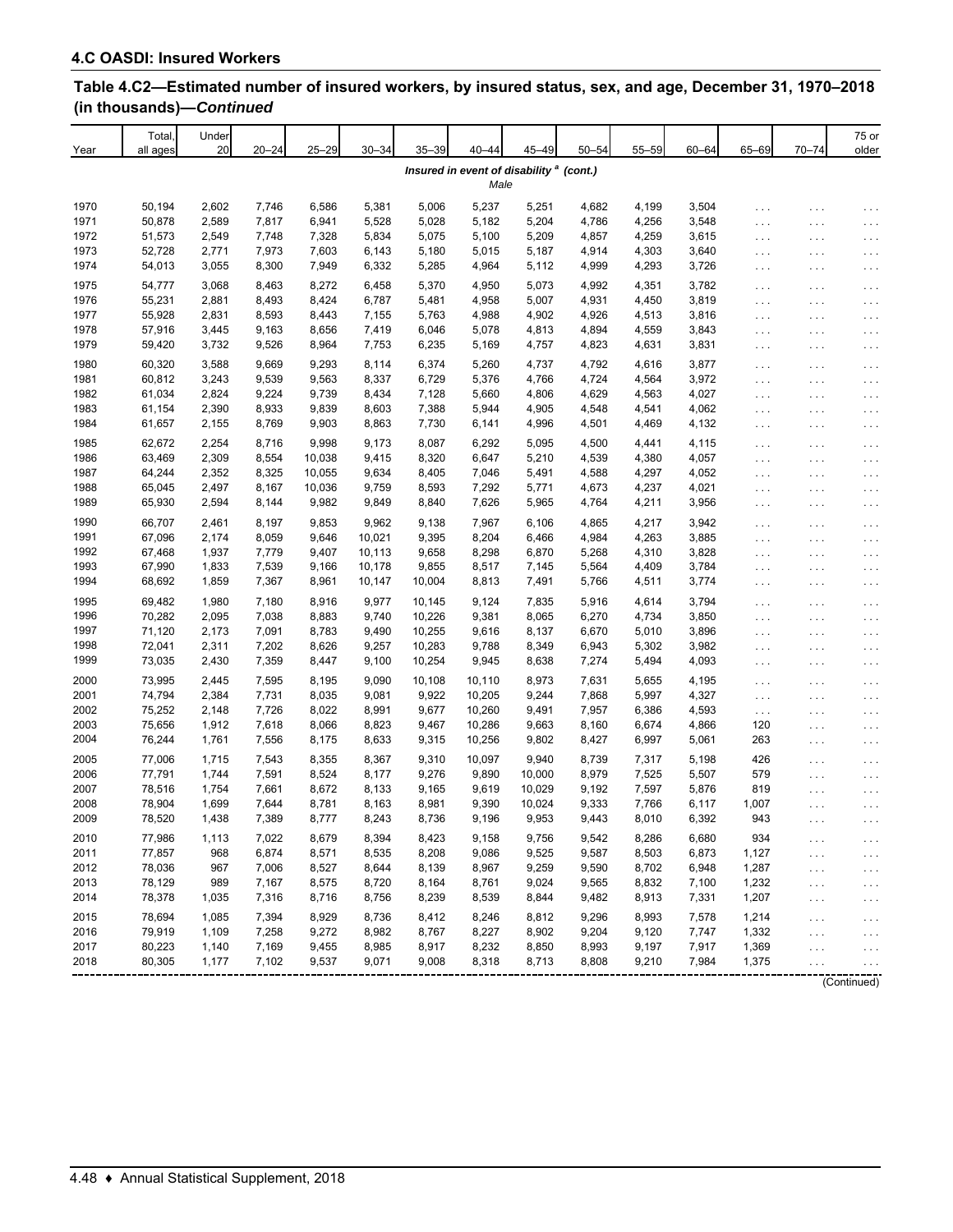| Year         | Total<br>all ages | Under<br>20    | $20 - 24$      | $25 - 29$      | $30 - 34$        | $35 - 39$        | $40 - 44$                                                   | 45-49           | $50 - 54$      | 55-59          | $60 - 64$      | 65-69                                        | $70 - 74$                                    | 75 or<br>older         |
|--------------|-------------------|----------------|----------------|----------------|------------------|------------------|-------------------------------------------------------------|-----------------|----------------|----------------|----------------|----------------------------------------------|----------------------------------------------|------------------------|
|              |                   |                |                |                |                  |                  | Insured in event of disability <sup>a</sup> (cont.)<br>Male |                 |                |                |                |                                              |                                              |                        |
| 1970         | 50,194            | 2,602          | 7,746          | 6,586          | 5,381            | 5,006            | 5,237                                                       | 5,251           | 4,682          | 4,199          | 3,504          |                                              |                                              |                        |
| 1971         | 50,878            | 2,589          | 7,817          | 6,941          | 5,528            | 5,028            | 5,182                                                       | 5,204           | 4,786          | 4,256          | 3,548          | $\cdots$<br>$\sim$ $\sim$ $\sim$             | $\cdots$<br>$\cdots$                         | $\cdots$<br>$\cdots$   |
| 1972         | 51,573            | 2,549          | 7,748          | 7,328          | 5,834            | 5,075            | 5,100                                                       | 5,209           | 4,857          | 4,259          | 3,615          | $\cdots$                                     | $\cdots$                                     | $\cdots$               |
| 1973         | 52,728            | 2,771          | 7,973          | 7,603          | 6,143            | 5,180            | 5,015                                                       | 5,187           | 4,914          | 4,303          | 3,640          | $\cdots$                                     | $\cdots$                                     | $\cdots$               |
| 1974         | 54,013            | 3,055          | 8,300          | 7,949          | 6,332            | 5,285            | 4,964                                                       | 5,112           | 4,999          | 4,293          | 3,726          | $\sim$ $\sim$ $\sim$                         | $\sim$ $\sim$ $\sim$                         | $\sim$ $\sim$ $\sim$   |
| 1975         | 54,777            | 3,068          | 8,463          | 8,272          | 6,458            | 5,370            | 4,950                                                       | 5,073           | 4,992          | 4,351          | 3,782          | $\cdots$                                     | $\cdots$                                     | .                      |
| 1976         | 55,231            | 2,881          | 8,493          | 8,424          | 6,787            | 5,481            | 4,958                                                       | 5,007           | 4,931          | 4,450          | 3,819          | $\sim$ $\sim$ $\sim$                         | $\cdots$                                     | $\cdots$               |
| 1977         | 55,928            | 2,831          | 8,593          | 8,443          | 7,155            | 5,763            | 4,988                                                       | 4,902           | 4,926          | 4,513          | 3,816          | $\sim$ $\sim$ $\sim$                         | $\sim$ $\sim$ $\sim$                         | $\sim$ $\sim$ $\sim$   |
| 1978         | 57,916            | 3,445          | 9,163          | 8,656          | 7,419            | 6,046            | 5,078                                                       | 4,813           | 4,894          | 4,559          | 3,843          | $\sim$ $\sim$ $\sim$                         | $\cdots$                                     | $\cdots$               |
| 1979         | 59,420            | 3,732          | 9,526          | 8,964          | 7,753            | 6,235            | 5,169                                                       | 4,757           | 4,823          | 4,631          | 3,831          | $\sim$ $\sim$ $\sim$                         | $\sim$ $\sim$ $\sim$                         | $\sim$ $\sim$ $\sim$   |
| 1980         | 60,320            | 3,588          | 9,669          | 9,293          | 8,114            | 6,374            | 5,260                                                       | 4,737           | 4,792          | 4,616          | 3,877          | $\sim$ $\sim$ $\sim$                         | $\ldots$                                     | $\cdots$               |
| 1981         | 60,812            | 3,243          | 9,539          | 9,563          | 8,337            | 6,729            | 5,376                                                       | 4,766           | 4,724          | 4,564          | 3,972          | $\cdots$                                     | $\cdots$                                     | $\cdots$               |
| 1982         | 61,034            | 2,824          | 9,224          | 9,739          | 8,434            | 7,128            | 5,660                                                       | 4,806           | 4,629          | 4,563          | 4,027          | $\sim$ $\sim$ $\sim$                         | $\ldots$                                     | $\cdots$               |
| 1983         | 61,154            | 2,390          | 8,933          | 9,839          | 8,603            | 7,388            | 5,944                                                       | 4,905           | 4,548          | 4,541          | 4,062          | $\sim$ $\sim$ $\sim$                         | $\cdots$                                     | $\cdots$               |
| 1984         | 61,657            | 2,155          | 8,769          | 9,903          | 8,863            | 7,730            | 6,141                                                       | 4,996           | 4,501          | 4,469          | 4,132          | $\sim$ $\sim$ $\sim$                         | $\sim$ $\sim$ $\sim$                         | $\sim$ $\sim$ $\sim$   |
| 1985         | 62,672            | 2,254          | 8,716          | 9,998          | 9,173            | 8,087            | 6,292                                                       | 5,095           | 4,500          | 4,441          | 4,115          |                                              |                                              |                        |
| 1986         | 63,469            | 2,309          | 8,554          | 10,038         | 9,415            | 8,320            | 6,647                                                       | 5,210           | 4,539          | 4,380          | 4,057          | $\cdots$                                     | $\ldots$                                     | $\cdots$               |
| 1987         | 64,244            | 2,352          | 8,325          | 10,055         | 9,634            | 8,405            | 7,046                                                       | 5,491           | 4,588          | 4,297          | 4,052          | $\cdots$<br>$\sim$ $\sim$ $\sim$             | $\cdots$                                     | $\cdots$               |
| 1988         | 65,045            | 2,497          | 8,167          | 10,036         | 9,759            | 8,593            | 7,292                                                       | 5,771           | 4,673          | 4,237          | 4,021          | $\sim$ $\sim$ $\sim$                         | $\sim$ $\sim$ $\sim$<br>$\ldots$             | .<br>$\cdots$          |
| 1989         | 65,930            | 2,594          | 8,144          | 9,982          | 9,849            | 8,840            | 7,626                                                       | 5,965           | 4,764          | 4,211          | 3,956          | $\sim$ $\sim$ $\sim$                         | $\cdots$                                     | $\cdots$               |
| 1990         |                   |                |                |                |                  |                  |                                                             |                 |                |                |                |                                              |                                              |                        |
| 1991         | 66,707<br>67,096  | 2,461<br>2,174 | 8,197          | 9,853<br>9,646 | 9,962            | 9,138<br>9,395   | 7,967                                                       | 6,106<br>6,466  | 4,865          | 4,217<br>4,263 | 3,942          | $\cdots$                                     | $\ldots$                                     | $\cdots$               |
| 1992         | 67,468            | 1,937          | 8,059<br>7,779 | 9,407          | 10,021<br>10,113 | 9,658            | 8,204<br>8,298                                              | 6,870           | 4,984<br>5,268 | 4,310          | 3,885<br>3,828 | $\sim$ $\sim$ $\sim$                         | $\cdots$                                     | $\cdots$               |
| 1993         | 67,990            | 1,833          | 7,539          | 9,166          | 10,178           | 9,855            | 8,517                                                       | 7,145           | 5,564          | 4,409          | 3,784          | $\sim$ $\sim$ $\sim$<br>$\sim$ $\sim$ $\sim$ | $\ldots$                                     | $\cdots$               |
| 1994         | 68,692            | 1,859          | 7,367          | 8,961          | 10,147           | 10,004           | 8,813                                                       | 7,491           | 5,766          | 4,511          | 3,774          | $\cdots$                                     | $\ldots$<br>$\ldots$                         | $\cdots$<br>$\ldots$ . |
|              |                   |                |                |                |                  |                  |                                                             |                 |                |                |                |                                              |                                              |                        |
| 1995<br>1996 | 69,482<br>70,282  | 1,980<br>2,095 | 7,180<br>7,038 | 8,916<br>8,883 | 9,977<br>9,740   | 10,145<br>10,226 | 9,124<br>9,381                                              | 7,835           | 5,916<br>6,270 | 4,614<br>4,734 | 3,794<br>3,850 | $\cdots$                                     | $\cdots$                                     | $\cdots$               |
| 1997         | 71,120            | 2,173          | 7,091          | 8,783          | 9,490            | 10,255           | 9,616                                                       | 8,065<br>8,137  | 6,670          | 5,010          |                | $\cdots$                                     | $\cdots$                                     | $\cdots$               |
| 1998         | 72,041            | 2,311          | 7,202          | 8,626          | 9,257            | 10,283           | 9,788                                                       | 8,349           | 6,943          | 5,302          | 3,896<br>3,982 | $\sim$ $\sim$ $\sim$                         | $\cdots$                                     | .                      |
| 1999         | 73,035            | 2,430          | 7,359          | 8,447          | 9,100            | 10,254           | 9,945                                                       | 8,638           | 7,274          | 5,494          | 4,093          | $\sim$ $\sim$ $\sim$<br>$\ldots$             | $\sim$ $\sim$ $\sim$<br>$\sim$ $\sim$ $\sim$ | .<br>$\cdots$          |
|              |                   |                |                |                |                  |                  |                                                             |                 |                |                |                |                                              |                                              |                        |
| 2000         | 73,995            | 2,445          | 7,595          | 8,195          | 9,090            | 10,108           | 10,110                                                      | 8,973           | 7,631          | 5,655          | 4,195          | $\cdots$                                     | $\cdots$                                     | $\cdots$               |
| 2001<br>2002 | 74,794<br>75,252  | 2,384          | 7,731<br>7,726 | 8,035<br>8,022 | 9,081            | 9,922<br>9,677   | 10,205<br>10,260                                            | 9,244           | 7,868          | 5,997          | 4,327          | $\cdots$                                     | $\ldots$                                     | $\cdots$               |
| 2003         | 75,656            | 2,148<br>1,912 | 7,618          | 8,066          | 8,991<br>8,823   | 9,467            | 10,286                                                      | 9,491<br>9,663  | 7,957<br>8,160 | 6,386<br>6,674 | 4,593<br>4,866 | $\sim$ $\sim$ $\sim$<br>120                  | $\ldots$                                     | $\cdots$               |
| 2004         | 76,244            | 1,761          | 7,556          | 8,175          | 8,633            | 9,315            | 10,256                                                      | 9,802           | 8,427          | 6,997          | 5,061          | 263                                          | $\sim$ $\sim$ $\sim$                         | .                      |
|              |                   |                |                |                |                  |                  |                                                             |                 |                |                |                |                                              | $\ldots$                                     | $\cdots$               |
| 2005         | 77,006            | 1,715          | 7,543          | 8,355          | 8,367            | 9,310            | 10,097                                                      | 9,940           | 8,739          | 7,317          | 5,198          | 426                                          | $\ldots$                                     | $\cdots$               |
| 2006         | 77,791            | 1,744          | 7,591          | 8,524          | 8,177            | 9,276            | 9,890                                                       | 10,000          | 8,979          | 7,525          | 5,507          | 579                                          | $\cdots$                                     | .                      |
| 2007<br>2008 | 78,516            | 1,754          | 7,661          | 8,672          | 8,133            | 9,165            | 9,619                                                       | 10,029          | 9,192          | 7,597          | 5,876          | 819                                          | $\ldots$                                     | $\cdots$               |
| 2009         | 78,904            | 1,699          | 7,644          | 8,781          | 8,163            | 8,981            | 9,390                                                       | 10,024<br>9,953 | 9,333          | 7,766          | 6,117          | 1,007<br>943                                 | $\cdots$                                     | $\cdots$               |
|              | 78,520            | 1,438          | 7,389          | 8,777          | 8,243            | 8,736            | 9,196                                                       |                 | 9,443          | 8,010          | 6,392          |                                              |                                              |                        |
| 2010         | 77,986            | 1,113          | 7,022          | 8,679          | 8,394            | 8,423            | 9,158                                                       | 9,756           | 9,542          | 8,286          | 6,680          | 934                                          | $\cdots$                                     | $\cdots$               |
| 2011         | 77,857            | 968            | 6,874          | 8,571          | 8,535            | 8,208            | 9,086                                                       | 9,525           | 9,587          | 8,503          | 6,873          | 1,127                                        | $\sim$ $\sim$ $\sim$                         | $\sim$ $\sim$ $\sim$   |
| 2012         | 78,036            | 967            | 7,006          | 8,527          | 8,644            | 8,139            | 8,967                                                       | 9,259           | 9,590          | 8,702          | 6,948          | 1,287                                        | $\ldots$                                     | $\cdots$               |
| 2013         | 78,129            | 989            | 7,167          | 8,575          | 8,720            | 8,164            | 8,761                                                       | 9,024           | 9,565          | 8,832          | 7,100          | 1,232                                        | $\ldots$                                     | $\cdots$               |
| 2014         | 78,378            | 1,035          | 7,316          | 8,716          | 8,756            | 8,239            | 8,539                                                       | 8,844           | 9,482          | 8,913          | 7,331          | 1,207                                        | $\ldots$                                     | .                      |
| 2015         | 78,694            | 1,085          | 7,394          | 8,929          | 8,736            | 8,412            | 8,246                                                       | 8,812           | 9,296          | 8,993          | 7,578          | 1,214                                        | $\sim$ $\sim$ $\sim$                         | $\cdots$               |
| 2016         | 79,919            | 1,109          | 7,258          | 9,272          | 8,982            | 8,767            | 8,227                                                       | 8,902           | 9,204          | 9,120          | 7,747          | 1,332                                        | $\sim$ $\sim$ $\sim$                         | $\cdots$               |
| 2017         | 80,223            | 1,140          | 7,169          | 9,455          | 8,985            | 8,917            | 8,232                                                       | 8,850           | 8,993          | 9,197          | 7,917          | 1,369                                        | $\sim$ $\sim$ $\sim$                         | .                      |
| 2018         | 80,305            | 1,177          | 7,102          | 9,537          | 9,071            | 9,008            | 8,318                                                       | 8,713           | 8,808          | 9,210          | 7,984          | 1,375                                        | $\cdots$                                     |                        |
|              |                   |                |                |                |                  |                  |                                                             |                 |                |                |                |                                              |                                              | (Continued)            |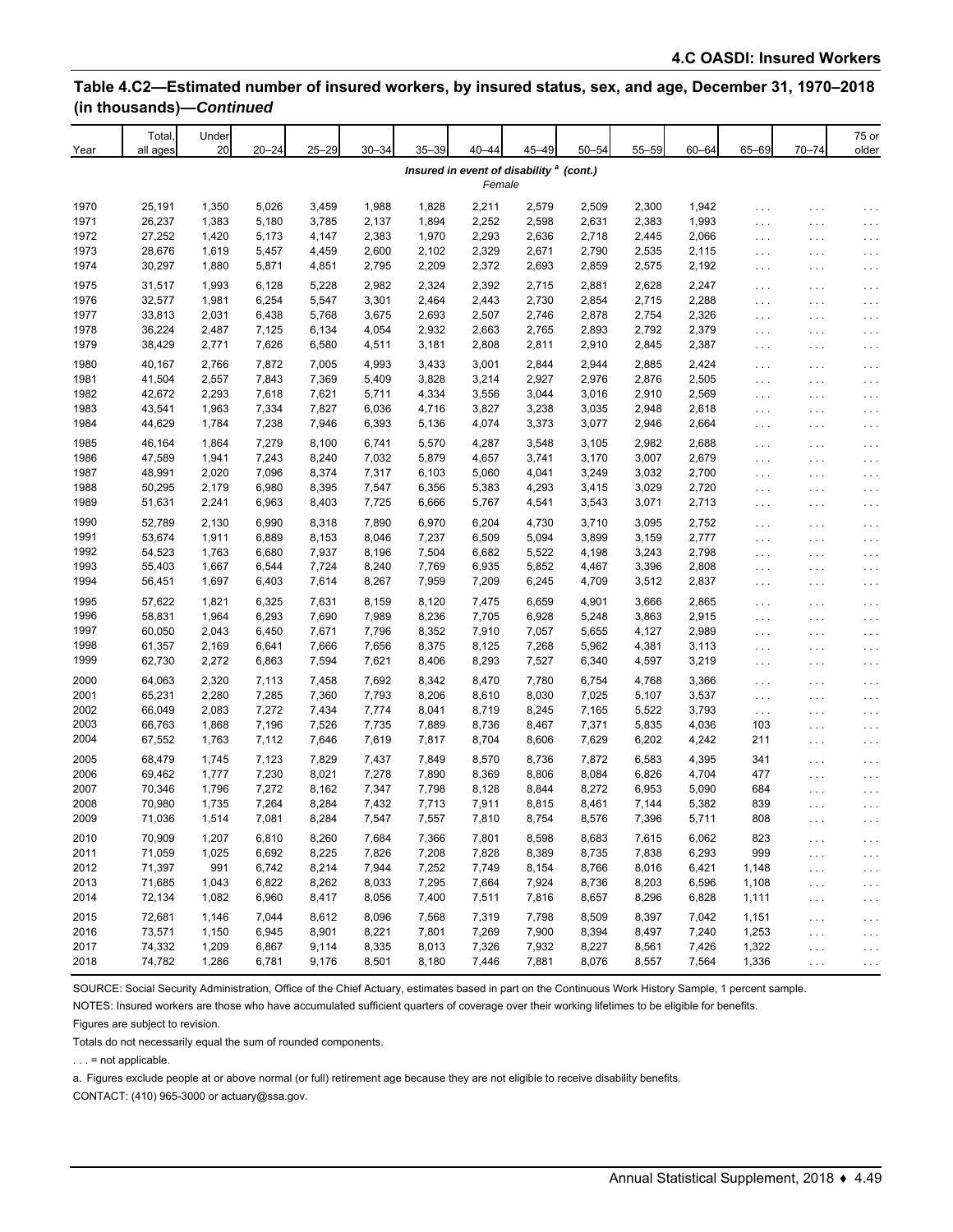| Year         | Total,<br>all ages | Under<br>20    | $20 - 24$      | $25 - 29$      | $30 - 34$      | $35 - 39$      | $40 - 44$                                                     | 45-49          | $50 - 54$      | $55 - 59$      | $60 - 64$      | 65-69                                        | $70 - 74$     | 75 or<br>older       |
|--------------|--------------------|----------------|----------------|----------------|----------------|----------------|---------------------------------------------------------------|----------------|----------------|----------------|----------------|----------------------------------------------|---------------|----------------------|
|              |                    |                |                |                |                |                | Insured in event of disability <sup>a</sup> (cont.)<br>Female |                |                |                |                |                                              |               |                      |
| 1970         | 25,191             | 1,350          | 5,026          | 3,459          | 1,988          | 1,828          | 2,211                                                         | 2,579          | 2,509          | 2,300          | 1,942          | .                                            | .             | .                    |
| 1971<br>1972 | 26,237<br>27,252   | 1,383<br>1,420 | 5,180<br>5,173 | 3,785<br>4,147 | 2,137<br>2,383 | 1,894<br>1,970 | 2,252<br>2,293                                                | 2,598<br>2,636 | 2,631<br>2,718 | 2,383<br>2,445 | 1,993<br>2,066 | $\cdots$                                     | .             | .                    |
| 1973         | 28,676             | 1,619          | 5,457          | 4,459          | 2,600          | 2,102          | 2,329                                                         | 2,671          | 2,790          | 2,535          | 2,115          | $\sim$ $\sim$ $\sim$                         | .             | $\cdots$             |
| 1974         | 30,297             | 1,880          | 5,871          | 4,851          | 2,795          | 2,209          | 2,372                                                         | 2,693          | 2,859          | 2,575          | 2,192          | $\cdots$<br>$\sim$ $\sim$ $\sim$             | .<br>$\cdots$ | .<br>$\cdots$        |
| 1975         |                    |                |                |                |                |                |                                                               |                |                |                |                |                                              |               |                      |
| 1976         | 31,517<br>32,577   | 1,993<br>1,981 | 6,128<br>6,254 | 5,228<br>5,547 | 2,982<br>3,301 | 2,324<br>2,464 | 2,392<br>2,443                                                | 2,715<br>2,730 | 2,881<br>2,854 | 2,628<br>2,715 | 2,247<br>2,288 | .                                            | .             | $\cdots$             |
| 1977         | 33,813             | 2,031          | 6,438          | 5,768          | 3,675          | 2,693          | 2,507                                                         | 2,746          | 2,878          | 2,754          | 2,326          | $\sim$ $\sim$ $\sim$<br>$\sim$ $\sim$ $\sim$ | $\cdots$<br>. | $\cdots$<br>$\cdots$ |
| 1978         | 36,224             | 2,487          | 7,125          | 6,134          | 4,054          | 2,932          | 2,663                                                         | 2,765          | 2,893          | 2,792          | 2,379          | $\sim$ $\sim$ $\sim$                         | .             | $\cdots$             |
| 1979         | 38,429             | 2,771          | 7,626          | 6,580          | 4,511          | 3,181          | 2,808                                                         | 2,811          | 2,910          | 2,845          | 2,387          | $\sim$ $\sim$ $\sim$                         | .             | .                    |
| 1980         | 40,167             | 2,766          | 7,872          | 7,005          | 4,993          | 3,433          | 3,001                                                         | 2,844          | 2,944          | 2,885          | 2,424          |                                              |               |                      |
| 1981         | 41,504             | 2,557          | 7,843          | 7,369          | 5,409          | 3,828          | 3,214                                                         | 2,927          | 2,976          | 2,876          | 2,505          | .<br>$\sim$ $\sim$ $\sim$                    | .<br>.        | $\cdots$<br>$\cdots$ |
| 1982         | 42,672             | 2,293          | 7,618          | 7,621          | 5,711          | 4,334          | 3,556                                                         | 3,044          | 3,016          | 2,910          | 2,569          | $\cdots$                                     | .             | .                    |
| 1983         | 43,541             | 1,963          | 7,334          | 7,827          | 6,036          | 4,716          | 3,827                                                         | 3,238          | 3,035          | 2,948          | 2,618          | $\ldots$ .                                   | .             | .                    |
| 1984         | 44,629             | 1,784          | 7,238          | 7,946          | 6,393          | 5,136          | 4,074                                                         | 3,373          | 3,077          | 2,946          | 2,664          | $\cdots$                                     | .             | $\cdots$             |
| 1985         | 46,164             | 1,864          | 7,279          | 8,100          | 6,741          | 5,570          | 4,287                                                         | 3,548          | 3,105          | 2,982          | 2,688          |                                              |               |                      |
| 1986         | 47,589             | 1,941          | 7,243          | 8,240          | 7,032          | 5,879          | 4,657                                                         | 3,741          | 3,170          | 3,007          | 2,679          | .<br>$\cdots$                                | .             | $\cdots$             |
| 1987         | 48,991             | 2,020          | 7,096          | 8,374          | 7,317          | 6,103          | 5,060                                                         | 4,041          | 3,249          | 3,032          | 2,700          | $\sim$ $\sim$ $\sim$                         | .<br>.        | .<br>$\cdots$        |
| 1988         | 50,295             | 2,179          | 6,980          | 8,395          | 7,547          | 6,356          | 5,383                                                         | 4,293          | 3,415          | 3,029          | 2,720          | $\ldots$                                     | .             | $\cdots$             |
| 1989         | 51,631             | 2,241          | 6,963          | 8,403          | 7,725          | 6,666          | 5,767                                                         | 4,541          | 3,543          | 3,071          | 2,713          | $\cdots$                                     | .             | .                    |
| 1990         | 52,789             | 2,130          | 6,990          | 8,318          | 7,890          | 6,970          | 6,204                                                         | 4,730          | 3,710          | 3,095          | 2,752          |                                              |               |                      |
| 1991         | 53,674             | 1,911          | 6,889          | 8,153          | 8,046          | 7,237          | 6,509                                                         | 5,094          | 3,899          | 3,159          | 2,777          | .<br>$\sim$ $\sim$ $\sim$                    | .<br>.        | .<br>$\cdots$        |
| 1992         | 54,523             | 1,763          | 6,680          | 7,937          | 8,196          | 7,504          | 6,682                                                         | 5,522          | 4,198          | 3,243          | 2,798          | $\cdots$                                     | .             | $\cdots$             |
| 1993         | 55,403             | 1,667          | 6,544          | 7,724          | 8,240          | 7,769          | 6,935                                                         | 5,852          | 4,467          | 3,396          | 2,808          | $\cdots$                                     | .             | $\cdots$             |
| 1994         | 56,451             | 1,697          | 6,403          | 7,614          | 8,267          | 7,959          | 7,209                                                         | 6,245          | 4,709          | 3,512          | 2,837          | $\cdots$                                     | .             | .                    |
| 1995         | 57,622             | 1,821          | 6,325          | 7,631          | 8,159          | 8,120          | 7,475                                                         | 6,659          | 4,901          | 3,666          | 2,865          | .                                            | .             |                      |
| 1996         | 58,831             | 1,964          | 6,293          | 7,690          | 7,989          | 8,236          | 7,705                                                         | 6,928          | 5,248          | 3,863          | 2,915          | $\cdots$                                     | .             | $\cdots$<br>$\cdots$ |
| 1997         | 60,050             | 2,043          | 6,450          | 7,671          | 7,796          | 8,352          | 7,910                                                         | 7,057          | 5,655          | 4,127          | 2,989          | $\sim$ $\sim$ $\sim$                         | .             | $\cdots$             |
| 1998         | 61,357             | 2,169          | 6,641          | 7,666          | 7,656          | 8,375          | 8,125                                                         | 7,268          | 5,962          | 4,381          | 3,113          | $\sim$ $\sim$ $\sim$                         | .             | $\cdots$             |
| 1999         | 62,730             | 2,272          | 6,863          | 7,594          | 7,621          | 8,406          | 8,293                                                         | 7,527          | 6,340          | 4,597          | 3,219          | $\cdots$                                     | .             | $\cdots$             |
| 2000         | 64,063             | 2,320          | 7,113          | 7,458          | 7,692          | 8,342          | 8,470                                                         | 7,780          | 6,754          | 4,768          | 3,366          | $\cdots$                                     | .             | $\cdots$             |
| 2001         | 65,231             | 2,280          | 7,285          | 7,360          | 7,793          | 8,206          | 8,610                                                         | 8,030          | 7,025          | 5,107          | 3,537          | $\ldots$                                     | .             | $\cdots$             |
| 2002         | 66,049             | 2,083          | 7,272          | 7,434          | 7,774          | 8,041          | 8,719                                                         | 8,245          | 7,165          | 5,522          | 3,793          | $\sim$ .                                     | .             | $\cdots$             |
| 2003         | 66,763             | 1,868          | 7,196          | 7,526          | 7,735          | 7,889          | 8,736                                                         | 8,467          | 7,371          | 5,835          | 4,036          | 103                                          | .             | $\cdots$             |
| 2004         | 67,552             | 1,763          | 7,112          | 7,646          | 7,619          | 7,817          | 8,704                                                         | 8,606          | 7,629          | 6,202          | 4,242          | 211                                          | .             | .                    |
| 2005         | 68,479             | 1,745          | 7,123          | 7,829          | 7,437          | 7,849          | 8,570                                                         | 8,736          | 7,872          | 6,583          | 4,395          | 341                                          | .             | $\cdots$             |
| 2006         | 69,462             | 1,777          | 7,230          | 8,021          | 7,278          | 7,890          | 8,369                                                         | 8,806          | 8,084          | 6,826          | 4,704          | 477                                          | .             | .                    |
| 2007         | 70,346             | 1,796          | 7,272          | 8,162          | 7,347          | 7,798          | 8,128                                                         | 8,844          | 8,272          | 6,953          | 5,090          | 684                                          | .             | .                    |
| 2008         | 70,980             | 1,735          | 7,264          | 8,284          | 7,432          | 7,713          | 7,911                                                         | 8,815          | 8,461          | 7,144          | 5,382          | 839                                          | .             | $\cdots$             |
| 2009         | 71,036             | 1,514          | 7,081          | 8,284          | 7,547          | 7,557          | 7,810                                                         | 8,754          | 8,576          | 7,396          | 5,711          | 808                                          | $\cdots$      | $\cdots$             |
| 2010         | 70,909             | 1,207          | 6,810          | 8,260          | 7,684          | 7,366          | 7,801                                                         | 8,598          | 8,683          | 7,615          | 6,062          | 823                                          | $\cdots$      | .                    |
| 2011         | 71,059             | 1,025          | 6,692          | 8,225          | 7,826          | 7,208          | 7,828                                                         | 8,389          | 8,735          | 7,838          | 6,293          | 999                                          | $\cdots$      | $\ldots$             |
| 2012         | 71,397             | 991            | 6,742          | 8,214          | 7,944          | 7,252          | 7,749                                                         | 8,154          | 8,766          | 8,016          | 6,421          | 1,148                                        | $\ldots$      | .                    |
| 2013         | 71,685             | 1,043          | 6,822          | 8,262          | 8,033          | 7,295          | 7,664                                                         | 7,924          | 8,736          | 8,203          | 6,596          | 1,108                                        | .             | $\cdots$             |
| 2014         | 72,134             | 1,082          | 6,960          | 8,417          | 8,056          | 7,400          | 7,511                                                         | 7,816          | 8,657          | 8,296          | 6,828          | 1,111                                        | $\cdots$      | $\cdots$             |
| 2015         | 72,681             | 1,146          | 7,044          | 8,612          | 8,096          | 7,568          | 7,319                                                         | 7,798          | 8,509          | 8,397          | 7,042          | 1,151                                        | $\cdots$      | .                    |
| 2016         | 73,571             | 1,150          | 6,945          | 8,901          | 8,221          | 7,801          | 7,269                                                         | 7,900          | 8,394          | 8,497          | 7,240          | 1,253                                        | $\cdots$      | $\cdots$             |
| 2017         | 74,332             | 1,209          | 6,867          | 9,114          | 8,335          | 8,013          | 7,326                                                         | 7,932          | 8,227          | 8,561          | 7,426          | 1,322                                        | $\cdots$      | .                    |
| 2018         | 74,782             | 1,286          | 6,781          | 9,176          | 8,501          | 8,180          | 7,446                                                         | 7,881          | 8,076          | 8,557          | 7,564          | 1,336                                        | $\ldots$      | $\cdot$              |

SOURCE: Social Security Administration, Office of the Chief Actuary, estimates based in part on the Continuous Work History Sample, 1 percent sample.

NOTES: Insured workers are those who have accumulated sufficient quarters of coverage over their working lifetimes to be eligible for benefits.

Figures are subject to revision.

Totals do not necessarily equal the sum of rounded components.

. . . = not applicable.

a. Figures exclude people at or above normal (or full) retirement age because they are not eligible to receive disability benefits.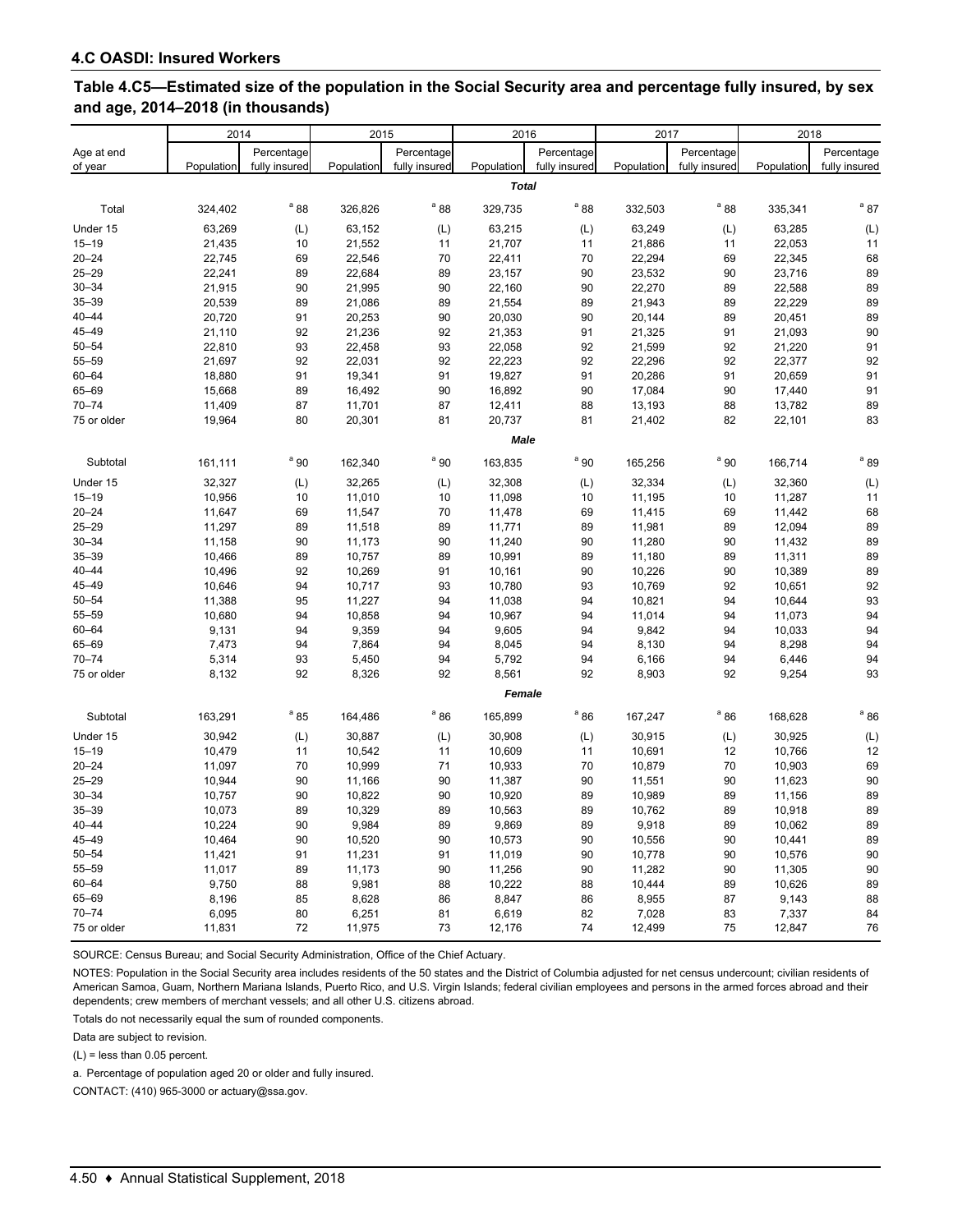| Table 4.C5—Estimated size of the population in the Social Security area and percentage fully insured, by sex |  |
|--------------------------------------------------------------------------------------------------------------|--|
| and age, 2014–2018 (in thousands)                                                                            |  |

|             | 2014<br>2015<br>2016<br>2017 |               | 2018       |                             |              |                 |            |               |            |               |
|-------------|------------------------------|---------------|------------|-----------------------------|--------------|-----------------|------------|---------------|------------|---------------|
|             |                              |               |            |                             |              |                 |            |               |            |               |
| Age at end  |                              | Percentage    |            | Percentage<br>fully insured |              | Percentage      |            | Percentage    |            | Percentage    |
| of year     | Population                   | fully insured | Population |                             | Population   | fully insured   | Population | fully insured | Population | fully insured |
|             |                              |               |            |                             | <b>Total</b> |                 |            |               |            |               |
| Total       | 324,402                      | $a_{88}$      | 326,826    | $a$ 88                      | 329,735      | $a_{88}$        | 332,503    | $a$ 88        | 335,341    | $a$ 87        |
| Under 15    | 63,269                       | (L)           | 63,152     | (L)                         | 63,215       | (L)             | 63,249     | (L)           | 63,285     | (L)           |
| $15 - 19$   | 21,435                       | 10            | 21,552     | 11                          | 21,707       | 11              | 21,886     | 11            | 22,053     | 11            |
| $20 - 24$   | 22,745                       | 69            | 22,546     | 70                          | 22,411       | 70              | 22,294     | 69            | 22,345     | 68            |
| $25 - 29$   | 22,241                       | 89            | 22,684     | 89                          | 23,157       | 90              | 23,532     | 90            | 23,716     | 89            |
| $30 - 34$   | 21,915                       | 90            | 21,995     | 90                          | 22,160       | 90              | 22,270     | 89            | 22,588     | 89            |
| $35 - 39$   | 20,539                       | 89            | 21,086     | 89                          | 21,554       | 89              | 21,943     | 89            | 22,229     | 89            |
| $40 - 44$   | 20,720                       | 91            | 20,253     | 90                          | 20,030       | 90              | 20,144     | 89            | 20,451     | 89            |
| $45 - 49$   | 21,110                       | 92            | 21,236     | 92                          | 21,353       | 91              | 21,325     | 91            | 21,093     | 90            |
| $50 - 54$   | 22,810                       | 93            | 22,458     | 93                          | 22,058       | 92              | 21,599     | 92            | 21,220     | 91            |
| $55 - 59$   | 21,697                       | 92            | 22,031     | 92                          | 22,223       | 92              | 22,296     | 92            | 22,377     | 92            |
| $60 - 64$   | 18,880                       | 91            | 19,341     | 91                          | 19,827       | 91              | 20,286     | 91            | 20,659     | 91            |
| 65-69       | 15,668                       | 89            | 16,492     | 90                          | 16,892       | 90              | 17,084     | 90            | 17,440     | 91            |
| $70 - 74$   | 11,409                       | 87            | 11,701     | 87                          | 12,411       | 88              | 13,193     | 88            | 13,782     | 89            |
| 75 or older | 19,964                       | 80            | 20,301     | 81                          | 20,737       | 81              | 21,402     | 82            | 22,101     | 83            |
|             |                              |               |            |                             | <b>Male</b>  |                 |            |               |            |               |
| Subtotal    | 161,111                      | $^{\circ}$ 90 | 162,340    | <sup>a</sup> 90             | 163,835      | <sup>a</sup> 90 | 165,256    | $a_{90}$      | 166,714    | $a$ 89        |
| Under 15    | 32,327                       | (L)           | 32,265     | (L)                         | 32,308       | (L)             | 32,334     | (L)           | 32,360     | (L)           |
| $15 - 19$   | 10,956                       | 10            | 11,010     | 10                          | 11,098       | 10              | 11,195     | 10            | 11,287     | 11            |
| $20 - 24$   | 11,647                       | 69            | 11,547     | 70                          | 11,478       | 69              | 11,415     | 69            | 11,442     | 68            |
| $25 - 29$   | 11,297                       | 89            | 11,518     | 89                          | 11,771       | 89              | 11,981     | 89            | 12,094     | 89            |
| $30 - 34$   | 11,158                       | 90            | 11,173     | 90                          | 11,240       | 90              | 11,280     | 90            | 11,432     | 89            |
| $35 - 39$   | 10,466                       | 89            | 10,757     | 89                          | 10,991       | 89              | 11,180     | 89            | 11,311     | 89            |
| $40 - 44$   | 10,496                       | 92            | 10,269     | 91                          | 10,161       | 90              | 10,226     | 90            | 10,389     | 89            |
| 45-49       | 10,646                       | 94            | 10,717     | 93                          | 10,780       | 93              | 10,769     | 92            | 10,651     | 92            |
| $50 - 54$   | 11,388                       | 95            | 11,227     | 94                          | 11,038       | 94              | 10,821     | 94            | 10,644     | 93            |
| 55-59       | 10,680                       | 94            | 10,858     | 94                          | 10,967       | 94              | 11,014     | 94            | 11,073     | 94            |
| $60 - 64$   | 9,131                        | 94            | 9,359      | 94                          | 9,605        | 94              | 9,842      | 94            | 10,033     | 94            |
| 65-69       | 7,473                        | 94            | 7,864      | 94                          | 8,045        | 94              | 8,130      | 94            | 8,298      | 94            |
| $70 - 74$   | 5,314                        | 93            | 5,450      | 94                          | 5,792        | 94              | 6,166      | 94            | 6,446      | 94            |
| 75 or older | 8,132                        | 92            | 8,326      | 92                          | 8,561        | 92              | 8,903      | 92            | 9,254      | 93            |
|             |                              |               |            |                             | Female       |                 |            |               |            |               |
| Subtotal    | 163,291                      | $a$ 85        | 164,486    | $a$ 86                      | 165,899      | $a$ 86          | 167,247    | $a$ 86        | 168,628    | $a$ 86        |
| Under 15    | 30,942                       | (L)           | 30,887     | (L)                         | 30,908       | (L)             | 30,915     | (L)           | 30,925     | (L)           |
| $15 - 19$   | 10,479                       | 11            | 10,542     | 11                          | 10,609       | 11              | 10,691     | 12            | 10,766     | 12            |
| $20 - 24$   | 11,097                       | 70            | 10,999     | 71                          | 10,933       | 70              | 10,879     | 70            | 10,903     | 69            |
| $25 - 29$   | 10,944                       | 90            | 11,166     | 90                          | 11,387       | 90              | 11,551     | 90            | 11,623     | 90            |
| $30 - 34$   | 10,757                       | 90            | 10,822     | 90                          | 10,920       | 89              | 10,989     | 89            | 11,156     | 89            |
| $35 - 39$   | 10,073                       | 89            | 10,329     | 89                          | 10,563       | 89              | 10,762     | 89            | 10,918     | 89            |
| $40 - 44$   | 10,224                       | 90            | 9,984      | 89                          | 9,869        | 89              | 9,918      | 89            | 10,062     | 89            |
| $45 - 49$   | 10,464                       | 90            | 10,520     | 90                          | 10,573       | 90              | 10,556     | 90            | 10,441     | 89            |
| $50 - 54$   | 11,421                       | 91            | 11,231     | 91                          | 11,019       | 90              | 10,778     | 90            | 10,576     | 90            |
| $55 - 59$   | 11,017                       | 89            | 11,173     | 90                          | 11,256       | 90              | 11,282     | 90            | 11,305     | 90            |
| $60 - 64$   | 9,750                        | 88            | 9,981      | 88                          | 10,222       | 88              | 10,444     | 89            | 10,626     | 89            |
| 65-69       | 8,196                        | 85            | 8,628      | 86                          | 8,847        | 86              | 8,955      | 87            | 9,143      | 88            |
| $70 - 74$   | 6,095                        | 80            | 6,251      | 81                          | 6,619        | 82              | 7,028      | 83            | 7,337      | 84            |
| 75 or older | 11,831                       | 72            | 11,975     | 73                          | 12,176       | 74              | 12,499     | 75            | 12,847     | 76            |

SOURCE: Census Bureau; and Social Security Administration, Office of the Chief Actuary.

NOTES: Population in the Social Security area includes residents of the 50 states and the District of Columbia adjusted for net census undercount; civilian residents of American Samoa, Guam, Northern Mariana Islands, Puerto Rico, and U.S. Virgin Islands; federal civilian employees and persons in the armed forces abroad and their dependents; crew members of merchant vessels; and all other U.S. citizens abroad.

Totals do not necessarily equal the sum of rounded components.

Data are subject to revision.

(L) = less than 0.05 percent.

a. Percentage of population aged 20 or older and fully insured.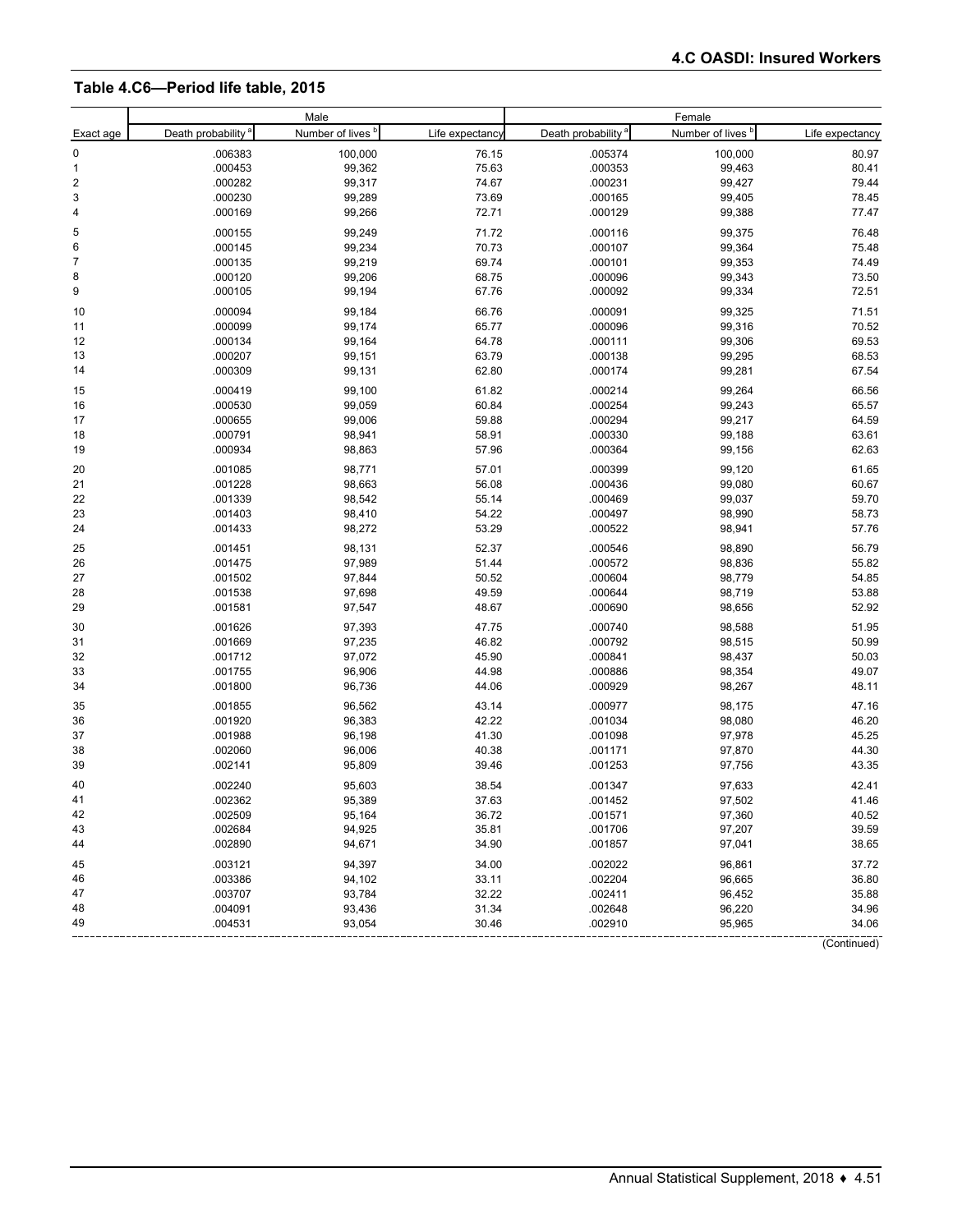#### **Table 4.C6—Period life table, 2015**

|                         |                                | Male             |                 |                                | Female                       |                 |  |  |
|-------------------------|--------------------------------|------------------|-----------------|--------------------------------|------------------------------|-----------------|--|--|
| Exact age               | Death probability <sup>a</sup> | Number of lives  | Life expectancy | Death probability <sup>a</sup> | Number of lives <sup>b</sup> | Life expectancy |  |  |
| $\pmb{0}$               | .006383                        | 100,000          | 76.15           | .005374                        | 100,000                      | 80.97           |  |  |
| 1                       | .000453                        | 99,362           | 75.63           | .000353                        | 99,463                       | 80.41           |  |  |
| $\overline{\mathbf{c}}$ | .000282                        | 99,317           | 74.67           | .000231                        | 99,427                       | 79.44           |  |  |
| 3                       | .000230                        | 99,289           | 73.69           | .000165                        | 99,405                       | 78.45           |  |  |
| 4                       | .000169                        | 99,266           | 72.71           | .000129                        | 99,388                       | 77.47           |  |  |
| 5                       | .000155                        | 99,249           | 71.72           | .000116                        | 99,375                       | 76.48           |  |  |
| 6                       | .000145                        | 99,234           | 70.73           | .000107                        | 99,364                       | 75.48           |  |  |
| $\overline{7}$          | .000135                        | 99,219           | 69.74           | .000101                        | 99,353                       | 74.49           |  |  |
| 8                       | .000120                        | 99,206           | 68.75           | .000096                        | 99,343                       | 73.50           |  |  |
| 9                       | .000105                        | 99,194           | 67.76           | .000092                        | 99,334                       | 72.51           |  |  |
| 10                      | .000094                        | 99,184           | 66.76           | .000091                        | 99,325                       | 71.51           |  |  |
| 11                      | .000099                        | 99,174           | 65.77           | .000096                        | 99,316                       | 70.52           |  |  |
| 12                      | .000134                        | 99,164           | 64.78           | .000111                        | 99,306                       | 69.53           |  |  |
| 13                      | .000207                        | 99,151           | 63.79           | .000138                        | 99,295                       | 68.53           |  |  |
| 14                      | .000309                        | 99,131           | 62.80           | .000174                        | 99,281                       | 67.54           |  |  |
| 15                      | .000419                        | 99,100           | 61.82           | .000214                        | 99,264                       | 66.56           |  |  |
| 16                      | .000530                        | 99,059           | 60.84           | .000254                        | 99,243                       | 65.57           |  |  |
| 17                      | .000655                        | 99,006           | 59.88           | .000294                        | 99,217                       | 64.59           |  |  |
| 18                      | .000791                        | 98,941           | 58.91           | .000330                        | 99,188                       | 63.61           |  |  |
| 19                      | .000934                        | 98,863           | 57.96           | .000364                        | 99,156                       | 62.63           |  |  |
| 20                      | .001085                        | 98,771           | 57.01           | .000399                        | 99,120                       | 61.65           |  |  |
| 21                      | .001228                        | 98,663           | 56.08           | .000436                        | 99,080                       | 60.67           |  |  |
| 22                      | .001339                        | 98,542           | 55.14           | .000469                        | 99,037                       | 59.70           |  |  |
| 23                      | .001403                        | 98,410           | 54.22           | .000497                        | 98,990                       | 58.73           |  |  |
| 24                      | .001433                        | 98,272           | 53.29           | .000522                        | 98,941                       | 57.76           |  |  |
| 25                      | .001451                        | 98,131           | 52.37           | .000546                        | 98,890                       | 56.79           |  |  |
| 26                      | .001475                        | 97,989           | 51.44           | .000572                        | 98,836                       | 55.82           |  |  |
| 27                      | .001502                        | 97,844           | 50.52           | .000604                        | 98,779                       | 54.85           |  |  |
| 28                      | .001538                        | 97,698           | 49.59           | .000644                        | 98,719                       | 53.88           |  |  |
| 29                      | .001581                        | 97,547           | 48.67           | .000690                        | 98,656                       | 52.92           |  |  |
| 30                      | .001626                        | 97,393           | 47.75           | .000740                        | 98,588                       | 51.95           |  |  |
| 31                      | .001669                        | 97,235           | 46.82           | .000792                        | 98,515                       | 50.99           |  |  |
| 32                      | .001712                        | 97,072           | 45.90           | .000841                        | 98,437                       | 50.03           |  |  |
| 33<br>34                | .001755                        | 96,906           | 44.98           | .000886                        | 98,354                       | 49.07           |  |  |
|                         | .001800                        | 96,736           | 44.06           | .000929                        | 98,267                       | 48.11           |  |  |
| 35                      | .001855                        | 96,562           | 43.14           | .000977                        | 98,175                       | 47.16           |  |  |
| 36                      | .001920                        | 96,383           | 42.22           | .001034                        | 98,080                       | 46.20           |  |  |
| 37                      | .001988                        | 96,198           | 41.30           | .001098                        | 97,978                       | 45.25           |  |  |
| 38                      | .002060                        | 96,006           | 40.38           | .001171                        | 97,870                       | 44.30           |  |  |
| 39                      | .002141                        | 95,809           | 39.46           | .001253                        | 97,756                       | 43.35           |  |  |
| 40                      | .002240                        | 95,603           | 38.54           | .001347                        | 97,633                       | 42.41           |  |  |
| 41                      | .002362                        | 95,389           | 37.63           | .001452                        | 97,502                       | 41.46           |  |  |
| 42                      | .002509                        | 95,164           | 36.72           | .001571                        | 97,360                       | 40.52           |  |  |
| 43<br>44                | .002684<br>.002890             | 94,925<br>94,671 | 35.81<br>34.90  | .001706<br>.001857             | 97,207<br>97,041             | 39.59<br>38.65  |  |  |
|                         |                                |                  |                 |                                |                              |                 |  |  |
| 45                      | .003121                        | 94,397           | 34.00           | .002022                        | 96,861                       | 37.72           |  |  |
| 46                      | .003386                        | 94,102           | 33.11           | .002204                        | 96,665                       | 36.80           |  |  |
| 47                      | .003707                        | 93,784           | 32.22           | .002411                        | 96,452                       | 35.88           |  |  |
| 48<br>49                | .004091<br>.004531             | 93,436<br>93,054 | 31.34<br>30.46  | .002648<br>.002910             | 96,220<br>95,965             | 34.96<br>34.06  |  |  |
|                         |                                |                  |                 |                                |                              |                 |  |  |
|                         |                                |                  |                 |                                |                              | (Continued)     |  |  |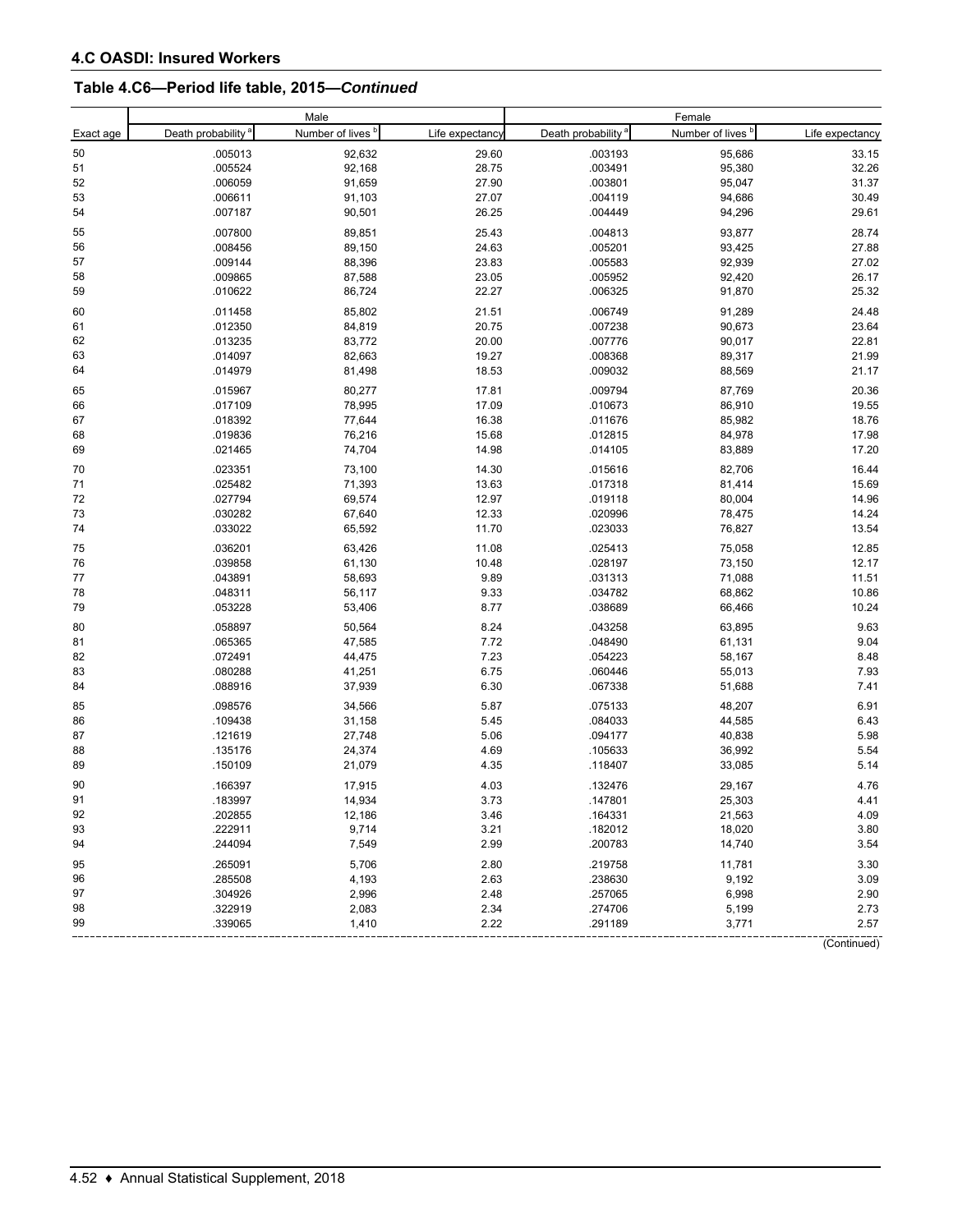# **Table 4.C6—Period life table, 2015—***Continued*

|           |                                | Male                         |                 |                                | Female                       |                 |
|-----------|--------------------------------|------------------------------|-----------------|--------------------------------|------------------------------|-----------------|
| Exact age | Death probability <sup>a</sup> | Number of lives <sup>b</sup> | Life expectancy | Death probability <sup>a</sup> | Number of lives <sup>b</sup> | Life expectancy |
| 50        | .005013                        | 92,632                       | 29.60           | .003193                        | 95,686                       | 33.15           |
| 51        | .005524                        | 92,168                       | 28.75           | .003491                        | 95,380                       | 32.26           |
| 52        | .006059                        | 91,659                       | 27.90           | .003801                        | 95,047                       | 31.37           |
| 53        | .006611                        | 91,103                       | 27.07           | .004119                        | 94,686                       | 30.49           |
| 54        | .007187                        | 90,501                       | 26.25           | .004449                        | 94,296                       | 29.61           |
| 55        | .007800                        | 89,851                       | 25.43           | .004813                        | 93,877                       | 28.74           |
| 56        | .008456                        | 89,150                       | 24.63           | .005201                        | 93,425                       | 27.88           |
| 57        | .009144                        | 88,396                       | 23.83           | .005583                        | 92,939                       | 27.02           |
| 58        | .009865                        | 87,588                       | 23.05           | .005952                        | 92,420                       | 26.17           |
| 59        | .010622                        | 86,724                       | 22.27           | .006325                        | 91,870                       | 25.32           |
| 60        | .011458                        | 85,802                       | 21.51           | .006749                        | 91,289                       | 24.48           |
| 61        | .012350                        | 84,819                       | 20.75           | .007238                        | 90,673                       | 23.64           |
| 62        | .013235                        | 83,772                       | 20.00           | .007776                        | 90,017                       | 22.81           |
| 63        | .014097                        | 82,663                       | 19.27           | .008368                        | 89,317                       | 21.99           |
| 64        | .014979                        | 81,498                       | 18.53           | .009032                        | 88,569                       | 21.17           |
| 65        | .015967                        | 80,277                       | 17.81           | .009794                        | 87,769                       | 20.36           |
| 66        | .017109                        | 78,995                       | 17.09           | .010673                        | 86,910                       | 19.55           |
| 67        | .018392                        | 77,644                       | 16.38           | .011676                        | 85,982                       | 18.76           |
| 68        | .019836                        | 76,216                       | 15.68           | .012815                        | 84,978                       | 17.98           |
| 69        | .021465                        | 74,704                       | 14.98           | .014105                        | 83,889                       | 17.20           |
| 70        | .023351                        | 73,100                       | 14.30           | .015616                        | 82,706                       | 16.44           |
| 71        | .025482                        | 71,393                       | 13.63           | .017318                        | 81,414                       | 15.69           |
| 72        | .027794                        | 69,574                       | 12.97           | .019118                        | 80,004                       | 14.96           |
| 73        | .030282                        | 67,640                       | 12.33           | .020996                        | 78,475                       | 14.24           |
| 74        | .033022                        | 65,592                       | 11.70           | .023033                        | 76,827                       | 13.54           |
| 75        | .036201                        | 63,426                       | 11.08           | .025413                        | 75,058                       | 12.85           |
| 76        | .039858                        | 61,130                       | 10.48           | .028197                        | 73,150                       | 12.17           |
| $77 \,$   | .043891                        | 58,693                       | 9.89            | .031313                        | 71,088                       | 11.51           |
| 78        | .048311                        | 56,117                       | 9.33            | .034782                        | 68,862                       | 10.86           |
| 79        | .053228                        | 53,406                       | 8.77            | .038689                        | 66,466                       | 10.24           |
| 80        | .058897                        | 50,564                       | 8.24            | .043258                        | 63,895                       | 9.63            |
| 81        | .065365                        | 47,585                       | 7.72            | .048490                        | 61,131                       | 9.04            |
| 82        | .072491                        | 44,475                       | 7.23            | .054223                        | 58,167                       | 8.48            |
| 83        | .080288                        | 41,251                       | 6.75            | .060446                        | 55,013                       | 7.93            |
| 84        | .088916                        | 37,939                       | 6.30            | .067338                        | 51,688                       | 7.41            |
|           |                                |                              |                 |                                |                              |                 |
| 85        | .098576                        | 34,566                       | 5.87            | .075133<br>.084033             | 48,207                       | 6.91            |
| 86<br>87  | .109438                        | 31,158                       | 5.45            |                                | 44,585                       | 6.43<br>5.98    |
|           | .121619                        | 27,748                       | 5.06            | .094177                        | 40,838                       |                 |
| 88<br>89  | .135176<br>.150109             | 24,374<br>21,079             | 4.69<br>4.35    | .105633<br>.118407             | 36,992<br>33,085             | 5.54<br>5.14    |
|           |                                |                              |                 |                                |                              |                 |
| 90        | .166397                        | 17,915                       | 4.03            | .132476                        | 29,167                       | 4.76            |
| 91        | .183997                        | 14,934                       | 3.73            | .147801                        | 25,303                       | 4.41            |
| 92        | .202855                        | 12,186                       | 3.46            | .164331                        | 21,563                       | 4.09            |
| 93        | .222911                        | 9,714                        | 3.21            | .182012                        | 18,020                       | 3.80            |
| 94        | .244094                        | 7,549                        | 2.99            | .200783                        | 14,740                       | 3.54            |
| 95        | .265091                        | 5,706                        | 2.80            | .219758                        | 11,781                       | 3.30            |
| 96        | .285508                        | 4,193                        | 2.63            | .238630                        | 9,192                        | 3.09            |
| 97        | .304926                        | 2,996                        | 2.48            | .257065                        | 6,998                        | 2.90            |
| 98        | .322919                        | 2,083                        | 2.34            | .274706                        | 5,199                        | 2.73            |
| 99        | .339065                        | 1,410                        | 2.22            | .291189                        | 3,771                        | 2.57            |
|           |                                |                              |                 |                                |                              | (Continued)     |